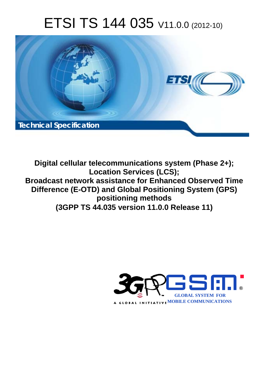# ETSI TS 144 035 V11.0.0 (2012-10)



**Digital cellular telecommunications system (Phase 2+); Location Services (LCS); Broadcast network assistance for Enhanced Observed Time Difference (E-OTD) and Global Positioning System (GPS) positioning methods (3GPP TS 44.035 version 11.0.0 Release 11)** 

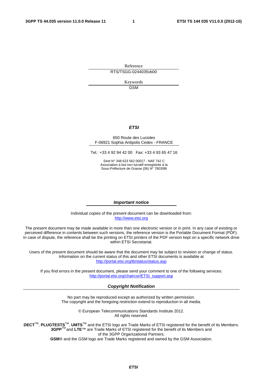Reference RTS/TSGG-0244035vb00

> Keywords GSM

#### *ETSI*

#### 650 Route des Lucioles F-06921 Sophia Antipolis Cedex - FRANCE

Tel.: +33 4 92 94 42 00 Fax: +33 4 93 65 47 16

Siret N° 348 623 562 00017 - NAF 742 C Association à but non lucratif enregistrée à la Sous-Préfecture de Grasse (06) N° 7803/88

#### *Important notice*

Individual copies of the present document can be downloaded from: [http://www.etsi.org](http://www.etsi.org/)

The present document may be made available in more than one electronic version or in print. In any case of existing or perceived difference in contents between such versions, the reference version is the Portable Document Format (PDF). In case of dispute, the reference shall be the printing on ETSI printers of the PDF version kept on a specific network drive within ETSI Secretariat.

Users of the present document should be aware that the document may be subject to revision or change of status. Information on the current status of this and other ETSI documents is available at <http://portal.etsi.org/tb/status/status.asp>

If you find errors in the present document, please send your comment to one of the following services: [http://portal.etsi.org/chaircor/ETSI\\_support.asp](http://portal.etsi.org/chaircor/ETSI_support.asp)

#### *Copyright Notification*

No part may be reproduced except as authorized by written permission. The copyright and the foregoing restriction extend to reproduction in all media.

> © European Telecommunications Standards Institute 2012. All rights reserved.

**DECT**TM, **PLUGTESTS**TM, **UMTS**TM and the ETSI logo are Trade Marks of ETSI registered for the benefit of its Members. **3GPP**TM and **LTE**™ are Trade Marks of ETSI registered for the benefit of its Members and of the 3GPP Organizational Partners.

**GSM**® and the GSM logo are Trade Marks registered and owned by the GSM Association.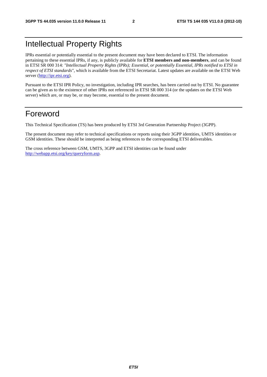# Intellectual Property Rights

IPRs essential or potentially essential to the present document may have been declared to ETSI. The information pertaining to these essential IPRs, if any, is publicly available for **ETSI members and non-members**, and can be found in ETSI SR 000 314: *"Intellectual Property Rights (IPRs); Essential, or potentially Essential, IPRs notified to ETSI in respect of ETSI standards"*, which is available from the ETSI Secretariat. Latest updates are available on the ETSI Web server [\(http://ipr.etsi.org](http://webapp.etsi.org/IPR/home.asp)).

Pursuant to the ETSI IPR Policy, no investigation, including IPR searches, has been carried out by ETSI. No guarantee can be given as to the existence of other IPRs not referenced in ETSI SR 000 314 (or the updates on the ETSI Web server) which are, or may be, or may become, essential to the present document.

# Foreword

This Technical Specification (TS) has been produced by ETSI 3rd Generation Partnership Project (3GPP).

The present document may refer to technical specifications or reports using their 3GPP identities, UMTS identities or GSM identities. These should be interpreted as being references to the corresponding ETSI deliverables.

The cross reference between GSM, UMTS, 3GPP and ETSI identities can be found under [http://webapp.etsi.org/key/queryform.asp.](http://webapp.etsi.org/key/queryform.asp)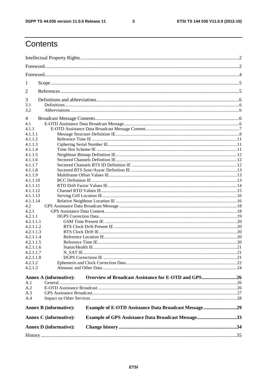$\mathbf{3}$ 

# Contents

| 1                             |                                                             |  |
|-------------------------------|-------------------------------------------------------------|--|
| 2                             |                                                             |  |
| 3                             |                                                             |  |
| 3.1                           |                                                             |  |
| 3.2                           |                                                             |  |
| 4                             |                                                             |  |
| 4.1                           |                                                             |  |
| 4.1.1                         |                                                             |  |
| 4.1.1.1                       |                                                             |  |
| 4.1.1.2                       |                                                             |  |
| 4.1.1.3                       |                                                             |  |
| 4.1.1.4                       |                                                             |  |
| 4.1.1.5                       |                                                             |  |
| 4.1.1.6                       |                                                             |  |
| 4.1.1.7                       |                                                             |  |
| 4.1.1.8                       |                                                             |  |
| 4.1.1.9                       |                                                             |  |
| 4.1.1.10                      |                                                             |  |
| 4.1.1.11                      |                                                             |  |
| 4.1.1.12                      |                                                             |  |
| 4.1.1.13                      |                                                             |  |
| 4.1.1.14                      |                                                             |  |
| 4.2                           |                                                             |  |
| 4.2.1                         |                                                             |  |
| 4.2.1.1                       |                                                             |  |
| 4.2.1.1.1                     |                                                             |  |
| 4.2.1.1.2                     |                                                             |  |
| 4.2.1.1.3                     |                                                             |  |
| 4.2.1.1.4                     |                                                             |  |
| 4.2.1.1.5                     |                                                             |  |
| 4.2.1.1.6                     |                                                             |  |
| 4.2.1.1.7                     |                                                             |  |
| 4.2.1.1.8                     |                                                             |  |
| 4.2.1.2                       |                                                             |  |
| 4.2.1.3                       |                                                             |  |
| <b>Annex A (informative):</b> | Overview of Broadcast Assistance for E-OTD and GPS26        |  |
| A.1                           |                                                             |  |
| A.2                           |                                                             |  |
| A.3                           |                                                             |  |
| A.4                           |                                                             |  |
|                               |                                                             |  |
| <b>Annex B (informative):</b> | <b>Example of E-OTD Assistance Data Broadcast Message29</b> |  |
| <b>Annex C</b> (informative): | <b>Example of GPS Assistance Data Broadcast Message33</b>   |  |
| <b>Annex D</b> (informative): |                                                             |  |
|                               |                                                             |  |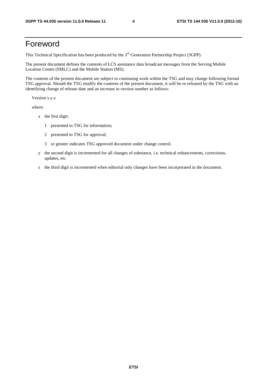# Foreword

This Technical Specification has been produced by the 3<sup>rd</sup> Generation Partnership Project (3GPP).

The present document defines the contents of LCS assistance data broadcast messages from the Serving Mobile Location Centre (SMLC) and the Mobile Station (MS).

The contents of the present document are subject to continuing work within the TSG and may change following formal TSG approval. Should the TSG modify the contents of the present document, it will be re-released by the TSG with an identifying change of release date and an increase in version number as follows:

Version x.y.z

where:

- x the first digit:
	- 1 presented to TSG for information;
	- 2 presented to TSG for approval;
	- 3 or greater indicates TSG approved document under change control.
- y the second digit is incremented for all changes of substance, i.e. technical enhancements, corrections, updates, etc.
- z the third digit is incremented when editorial only changes have been incorporated in the document.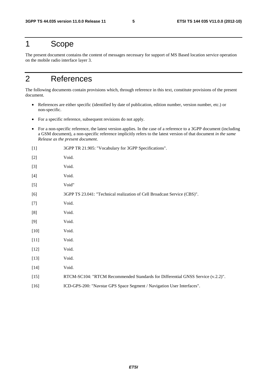# 1 Scope

The present document contains the content of messages necessary for support of MS Based location service operation on the mobile radio interface layer 3.

# 2 References

The following documents contain provisions which, through reference in this text, constitute provisions of the present document.

- References are either specific (identified by date of publication, edition number, version number, etc.) or non-specific.
- For a specific reference, subsequent revisions do not apply.
- For a non-specific reference, the latest version applies. In the case of a reference to a 3GPP document (including a GSM document), a non-specific reference implicitly refers to the latest version of that document *in the same Release as the present document*.

| $[1]$  | 3GPP TR 21.905: "Vocabulary for 3GPP Specifications".                           |
|--------|---------------------------------------------------------------------------------|
| $[2]$  | Void.                                                                           |
| $[3]$  | Void.                                                                           |
| $[4]$  | Void.                                                                           |
| $[5]$  | Void"                                                                           |
| [6]    | 3GPP TS 23.041: "Technical realization of Cell Broadcast Service (CBS)".        |
| $[7]$  | Void.                                                                           |
| [8]    | Void.                                                                           |
| [9]    | Void.                                                                           |
| $[10]$ | Void.                                                                           |
| $[11]$ | Void.                                                                           |
| $[12]$ | Void.                                                                           |
| $[13]$ | Void.                                                                           |
| $[14]$ | Void.                                                                           |
| $[15]$ | RTCM-SC104: "RTCM Recommended Standards for Differential GNSS Service (v.2.2)". |
| $[16]$ | ICD-GPS-200: "Navstar GPS Space Segment / Navigation User Interfaces".          |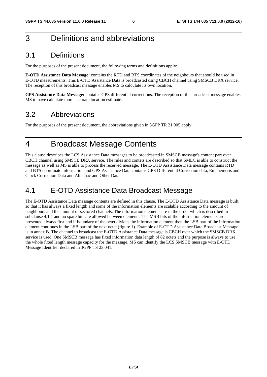# 3 Definitions and abbreviations

# 3.1 Definitions

For the purposes of the present document, the following terms and definitions apply:

**E-OTD Assistance Data Message:** contains the RTD and BTS coordinates of the neighbours that should be used in E-OTD measurements. This E-OTD Assistance Data is broadcasted using CBCH channel using SMSCB DRX service. The reception of this broadcast message enables MS to calculate its own location.

**GPS Assistance Data Message:** contains GPS differential corrections. The reception of this broadcast message enables MS to have calculate more accurate location estimate.

## 3.2 Abbreviations

For the purposes of the present document, the abbreviations given in 3GPP TR 21.905 apply.

# 4 Broadcast Message Contents

This clause describes the LCS Assistance Data messages to be broadcasted in SMSCB message's content part over CBCH channel using SMSCB DRX service. The rules and contets are described so that SMLC is able to construct the message as well as MS is able to process the received message. The E-OTD Assistance Data message contains RTD and BTS coordinate information and GPS Assistance Data contains GPS Differential Correction data, Emphemeris and Clock Correction Data and Almanac and Other Data.

# 4.1 E-OTD Assistance Data Broadcast Message

The E-OTD Assistance Data message contents are defined in this clause. The E-OTD Assistance Data message is built so that it has always a fixed length and some of the information elements are scalable according to the amount of neighbours and the amount of sectored channels. The information elements are in the order which is described in subclause 4.1.1 and no spare bits are allowed between elements. The MSB bits of the information elements are presented always first and if boundary of the octet divides the information element then the LSB part of the information element continues in the LSB part of the next octet (figure 1). Example of E-OTD Assistance Data Broadcast Message is in annex B. The channel to broadcast the E-OTD Assistance Data message is CBCH over which the SMSCB DRX service is used. One SMSCB message has fixed information data length of 82 octets and the purpose is always to use the whole fixed length message capacity for the message. MS can identify the LCS SMSCB message with E-OTD Message Identifier declared in 3GPP TS 23.041.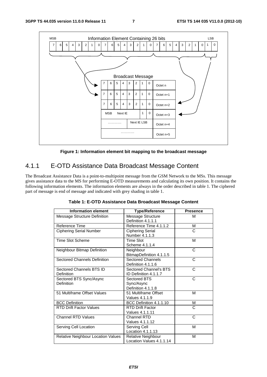

**Figure 1: Information element bit mapping to the broadcast message** 

# 4.1.1 E-OTD Assistance Data Broadcast Message Content

The Broadcast Assistance Data is a point-to-multipoint message from the GSM Network to the MSs. This message gives assistance data to the MS for performing E-OTD measurements and calculating its own position. It contains the following information elements. The information elements are always in the order described in table 1. The ciphered part of message is end of message and indicated with grey shading in table 1.

| <b>Information element</b>             | <b>Type/Reference</b>                            | <b>Presence</b> |
|----------------------------------------|--------------------------------------------------|-----------------|
| Message Structure Definition           | Message Structure<br>Definition 4.1.1.1          | M               |
| Reference Time                         | Reference Time 4.1.1.2                           | м               |
| <b>Ciphering Serial Number</b>         | <b>Ciphering Serial</b><br>Number 4.1.1.3        | C               |
| <b>Time Slot Scheme</b>                | <b>Time Slot</b><br>Scheme 4.1.1.4               | М               |
| Neighbour Bitmap Definition            | Neighbour<br>BitmapDefinition 4.1.1.5            | C               |
| <b>Sectored Channels Definition</b>    | <b>Sectored Channels</b><br>Definition 4.1.1.6   | C               |
| Sectored Channels BTS ID<br>Definition | Sectored Channel's BTS<br>ID Definition 4.1.1.7  | C               |
| Sectored BTS Sync/Async<br>Definition  | Sectored BTS<br>Sync/Async<br>Definition 4.1.1.8 | C               |
| 51 Multiframe Offset Values            | 51 Multiframe Offset<br>Values 4.1.1.9           | M               |
| <b>BCC Definition</b>                  | BCC Definition 4.1.1.10                          | М               |
| <b>RTD Drift Factor Values</b>         | <b>RTD Drift Factor</b><br>Values 4.1.1.11       | C               |
| <b>Channel RTD Values</b>              | Channel RTD<br>Values 4.1.1.12                   | C               |
| Serving Cell Location                  | Serving Cell<br>Location 4.1.1.13                | M               |
| Relative Neighbour Location Values     | Relative Neighbour<br>Location Values 4.1.1.14   | М               |

**Table 1: E-OTD Assistance Data Broadcast Message Content**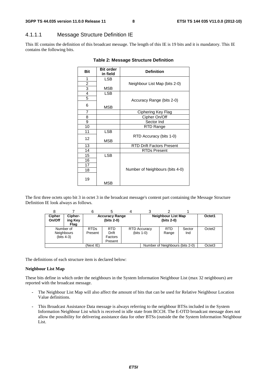### 4.1.1.1 Message Structure Definition IE

This IE contains the definition of this broadcast message. The length of this IE is 19 bits and it is mandatory. This IE contains the following bits.

| <b>Bit</b>     | <b>Bit order</b><br>in field | <b>Definition</b>                |  |  |
|----------------|------------------------------|----------------------------------|--|--|
| 1              | <b>LSB</b>                   |                                  |  |  |
| $\overline{2}$ |                              |                                  |  |  |
| 3              | MSB                          | Neighbour List Map (bits 2-0)    |  |  |
| $\overline{4}$ |                              |                                  |  |  |
|                | <b>LSB</b>                   |                                  |  |  |
| 5              |                              | Accuracy Range (bits 2-0)        |  |  |
| 6              | MSB                          |                                  |  |  |
| $\overline{7}$ |                              | Ciphering Key Flag               |  |  |
| 8              |                              | Cipher On/Off                    |  |  |
| 9              |                              | Sector Ind                       |  |  |
| 10             |                              | RTD Range                        |  |  |
| 11             | <b>LSB</b>                   |                                  |  |  |
| 12             | <b>MSB</b>                   | RTD Accuracy (bits 1-0)          |  |  |
| 13             |                              | <b>RTD Drift Factors Present</b> |  |  |
| 14             |                              | <b>RTDs Present</b>              |  |  |
| 15             | <b>LSB</b>                   |                                  |  |  |
| 16             |                              |                                  |  |  |
| 17             |                              |                                  |  |  |
| 18             |                              | Number of Neighbours (bits 4-0)  |  |  |
| 19             | MSB                          |                                  |  |  |

#### **Table 2: Message Structure Definition**

The first three octets upto bit 3 in octet 3 in the broadcast message's content part containing the Message Structure Definition IE look always as follows.

| <b>Cipher</b><br>On/Off | Cipher-<br>ing Key<br>Flag                      | <b>Accuracy Range</b><br>(bits 2-0) |                                           |  | Neighbour List Map<br>(bits 2-0)     |                                 | Octet1        |                    |
|-------------------------|-------------------------------------------------|-------------------------------------|-------------------------------------------|--|--------------------------------------|---------------------------------|---------------|--------------------|
|                         | Number of<br><b>Neighbours</b><br>(bits $4-3$ ) | <b>RTDs</b><br>Present              | <b>RTD</b><br>Drift<br>Factors<br>Present |  | <b>RTD Accuracy</b><br>(bits $1-0$ ) | <b>RTD</b><br>Range             | Sector<br>Ind | Octet <sub>2</sub> |
| (Next IE)               |                                                 |                                     |                                           |  |                                      | Number of Neighbours (bits 2-0) |               | Octet <sub>3</sub> |

The definitions of each structure item is declared below:

#### **Neighbour List Map**

These bits define in which order the neighbours in the System Information Neighbour List (max 32 neighbours) are reported with the broadcast message.

- The Neighbour List Map will also affect the amount of bits that can be used for Relative Neighbour Location Value definitions.
- This Broadcast Assistance Data message is always referring to the neighbour BTSs included in the System Information Neighbour List which is received in idle state from BCCH. The E-OTD broadcast message does not allow the possibility for delivering assistance data for other BTSs (outside the the System Information Neighbour List.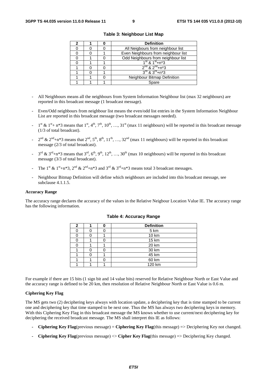|  | <b>Definition</b>                      |  |  |  |
|--|----------------------------------------|--|--|--|
|  | All Neigbours from neighbour list      |  |  |  |
|  | Even Neighbours from neighbour list    |  |  |  |
|  | Odd Neighbours from neighbour list     |  |  |  |
|  | $1^{\text{st}}$ & $1^{\text{st}}$ +n*3 |  |  |  |
|  | $2^{nd}$ & $2^{nd}$ +n*3               |  |  |  |
|  | $3^{rd}$ & $3^{rd}$ +n*3               |  |  |  |
|  | Neighbour Bitmap Definition            |  |  |  |
|  | Spare                                  |  |  |  |

**Table 3: Neighbour List Map** 

- All Neighbours means all the neighbours from System Information Neighbour list (max 32 neighbours) are reported in this broadcast message (1 broadcast message).
- Even/Odd neighbours from neighbour list means the even/odd list entries in the System Information Neighbour List are reported in this broadcast message (two broadcast messages needed).
- $1^{st}$  &  $1^{st}$  + n\*3 means that  $1^{st}$ ,  $4^{th}$ ,  $7^{th}$ ,  $10^{th}$ , ...,  $31^{st}$  (max 11 neighbours) will be reported in this broadcast message (1/3 of total broadcast).
- $2^{nd}$  &  $2^{nd}$ +n\*3 means that  $2^{nd}$ ,  $5^{th}$ ,  $8^{th}$ ,  $11^{th}$ , …,  $32^{nd}$  (max 11 neighbours) will be reported in this broadcast message (2/3 of total broadcast).
- $3^{\text{rd}}$  &  $3^{\text{rd}}+n*3$  means that  $3^{\text{rd}}, 6^{\text{th}}, 9^{\text{th}}, 12^{\text{th}}, ..., 30^{\text{th}}$  (max 10 neighbours) will be reported in this broadcast message (3/3 of total broadcast).
- The 1<sup>st</sup> & 1<sup>st</sup>+n\*3, 2<sup>nd</sup> & 2<sup>nd</sup>+n\*3 and 3<sup>rd</sup> & 3<sup>rd</sup>+n\*3 means total 3 broadcast messages.
- Neighbour Bitmap Definition will define which neighbours are included into this broadcast message, see subclause 4.1.1.5.

#### **Accuracy Range**

The accuracy range declares the accuracy of the values in the Relative Neigbour Location Value IE. The accuracy range has the following information.

| 2 |  | <b>Definition</b> |
|---|--|-------------------|
|   |  | 5 km              |
|   |  | 10 km             |
|   |  | 15 km             |
|   |  | 20 km             |
|   |  | 30 km             |
|   |  | 45 km             |
|   |  | 60 km             |
|   |  | 120 km            |

#### **Table 4: Accuracy Range**

For example if there are 15 bits (1 sign bit and 14 value bits) reserved for Relative Neighbour North or East Value and the accuracy range is defined to be 20 km, then resolution of Relative Neighbour North or East Value is 0.6 m.

#### **Ciphering Key Flag**

The MS gets two (2) deciphering keys always with location update, a deciphering key that is time stamped to be current one and deciphering key that time stamped to be next one. Thus the MS has always two deciphering keys in memory. With this Ciphering Key Flag in this broadcast message the MS knows whether to use current/next deciphering key for deciphering the received broadcast message. The MS shall interpret this IE as follows:

- **Ciphering Key Flag**(previous message) = **Ciphering Key Flag**(this message) => Deciphering Key not changed.
- **Ciphering Key Flag**(previous message) <> **Cipher Key Flag**(this message) => Deciphering Key changed.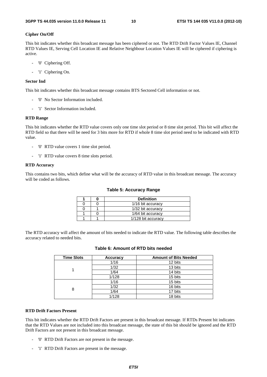#### **Cipher On/Off**

This bit indicates whether this broadcast message has been ciphered or not. The RTD Drift Factor Values IE, Channel RTD Values IE, Serving Cell Location IE and Relative Neighbour Location Values IE will be ciphered if ciphering is active.

- '0' Ciphering Off.
- '1' Ciphering On.

#### **Sector Ind**

This bit indicates whether this broadcast message contains BTS Sectored Cell information or not.

- '0' No Sector Information included.
- '1' Sector Information included.

#### **RTD Range**

This bit indicates whether the RTD value covers only one time slot period or 8 time slot period. This bit will affect the RTD field so that there will be need for 3 bits more for RTD if whole 8 time slot period need to be indicated with RTD value.

- '0' RTD value covers 1 time slot period.
- '1' RTD value covers 8 time slots period.

#### **RTD Accuracy**

This contains two bits, which define what will be the accuracy of RTD value in this broadcast message. The accuracy will be coded as follows.

#### **Table 5: Accuracy Range**

|  | <b>Definition</b>  |
|--|--------------------|
|  | 1/16 bit accuracy  |
|  | 1/32 bit accuracy  |
|  | 1/64 bit accuracy  |
|  | 1/128 bit accuracy |

The RTD accuracy will affect the amount of bits needed to indicate the RTD value. The following table describes the accuracy related to needed bits.

| <b>Time Slots</b> | <b>Accuracy</b> | <b>Amount of Bits Needed</b> |
|-------------------|-----------------|------------------------------|
|                   | 1/16            | 12 bits                      |
|                   | 1/32            | 13 bits                      |
|                   | 1/64            | 14 bits                      |
|                   | 1/128           | 15 bits                      |
| 8                 | 1/16            | 15 bits                      |
|                   | 1/32            | 16 bits                      |
|                   | 1/64            | 17 bits                      |
|                   | 1/128           | 18 bits                      |

#### **Table 6: Amount of RTD bits needed**

#### **RTD Drift Factors Present**

This bit indicates whether the RTD Drift Factors are present in this broadcast message. If RTDs Present bit indicates that the RTD Values are not included into this broadcast message, the state of this bit should be ignored and the RTD Drift Factors are not present in this broadcast message.

- '0' RTD Drift Factors are not present in the message.
- '1' RTD Drift Factors are present in the message.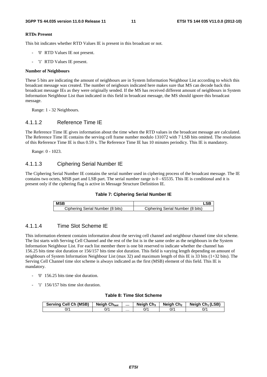#### **RTDs Present**

This bit indicates whether RTD Values IE is present in this broadcast or not.

- '0' RTD Values IE not present.
- '1' RTD Values IE present.

#### **Number of Neighbours**

These 5 bits are indicating the amount of neighbours are in System Information Neighbour List according to which this broadcast message was created. The number of neigbours indicated here makes sure that MS can decode back this broadcast message IEs as they were originally sended. If the MS has received different amount of neighbours in System Information Neighbour List than indicated in this field in broadcast message, the MS should ignore this broadcast message.

Range: 1 - 32 Neighbours.

### 4.1.1.2 Reference Time IE

The Reference Time IE gives information about the time when the RTD values in the broadcast message are calculated. The Reference Time IE contains the serving cell frame number modulo 131072 with 7 LSB bits omitted. The resolution of this Reference Time IE is thus 0.59 s. The Reference Time IE has 10 minutes periodicy. This IE is mandatory.

Range: 0 - 1023.

### 4.1.1.3 Ciphering Serial Number IE

The Ciphering Serial Number IE contains the serial number used in ciphering process of the broadcast message. The IE contains two octets, MSB part and LSB part. The serial number range is 0 - 65535. This IE is conditional and it is present only if the ciphering flag is active in Message Structure Definition IE.



| <b>MSB</b>                       |                                  |
|----------------------------------|----------------------------------|
| Ciphering Serial Number (8 bits) | Ciphering Serial Number (8 bits) |

### 4.1.1.4 Time Slot Scheme IE

This information element contains information about the serving cell channel and neighbour channel time slot scheme. The list starts with Serving Cell Channel and the rest of the list is in the same order as the neighbours in the System Information Neighbour List. For each list member there is one bit reserved to indicate whether the channel has 156.25 bits time slot duration or 156/157 bits time slot duration. This field is varying length depending on amount of neighbours of System Information Neighbour List (max 32) and maximum length of this IE is 33 bits (1+32 bits). The Serving Cell Channel time slot scheme is always indicated as the first (MSB) element of this field. This IE is mandatory.

- '0' 156.25 bits time slot duration.
- '1' 156/157 bits time slot duration.

#### **Table 8: Time Slot Scheme**

| <b>Serving Cell Ch (MSB)</b> | <b>Neigh Chlast</b> |   | <b>Neigh Ch<sub>3</sub></b> | Neigh Ch <sub>2</sub> | Neigh $Ch_1(LSB)$ |
|------------------------------|---------------------|---|-----------------------------|-----------------------|-------------------|
| 0/1                          | 0/1                 | . | 0/1                         | 0/1                   | 0/1               |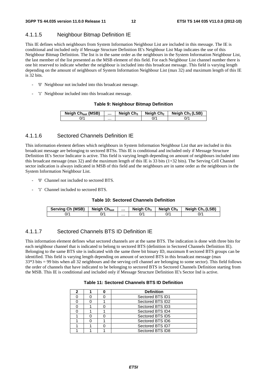### 4.1.1.5 Neighbour Bitmap Definition IE

This IE defines which neighbours from System Information Neighbour List are included in this message. The IE is conditional and included only if Message Structure Definition IE's Neighbour List Map indicates the use of this Neighbour Bitmap Definition. The list is in the same order as the neighbours in the System Information Neighbour List, the last member of the list presented as the MSB element of this field. For each Neighbour List channel number there is one bit reserved to indicate whether the neighbour is included into this broadcast message. This field is varying length depending on the amount of neighbours of System Information Neighbour List (max 32) and maximum length of this IE is 32 bits.

- '0' Neighbour not included into this broadcast message.
- '1' Neighbour included into this broadcast message.

#### **Table 9: Neighbour Bitmap Definition**

| Neigh Ch <sub>last</sub> (MSB) |   | Neigh $Ch3$ | Neigh Ch <sub>2</sub> | Neigh $Ch_1(LSB)$ |
|--------------------------------|---|-------------|-----------------------|-------------------|
| $J^{\prime}$                   | . |             |                       |                   |

### 4.1.1.6 Sectored Channels Definition IE

This information element defines which neighbours in System Information Neighbour List that are included in this broadcast message are belonging to sectored BTSs. This IE is conditional and included only if Message Structure Definition IE's Sector Indicator is active. This field is varying length depending on amount of neighbours included into this broadcast message (max 32) and the maximum length of this IE is 33 bits (1+32 bits). The Serving Cell Channel sector indication is always indicated in MSB of this field and the neighbours are in same order as the neighbours in the System Information Neighbour List.

- '0' Channel not included to sectored BTS.
- '1' Channel included to sectored BTS.

#### **Table 10: Sectored Channels Definition**

| <b>Serving Ch (MSB)</b> | <b>Neigh Chlast</b> |   | Neigh $Ch_3$ | Neiah Ch2 | Neigh $Ch_1(LSB)$ |
|-------------------------|---------------------|---|--------------|-----------|-------------------|
| 0/'                     | 0/1                 | . |              | ^/0       | 0/1               |

### 4.1.1.7 Sectored Channels BTS ID Definition IE

This information element defines what sectored channels are at the same BTS. The indication is done with three bits for each neighbour channel that is indicated to belong to sectored BTS (definition in Sectored Channels Definition IE). Belonging to the same BTS site is indicated with the same three bit binary ID, maximum 8 sectored BTS groups can be identified. This field is varying length depending on amount of sectored BTS in this broadcast message (max 33\*3 bits = 99 bits when all 32 neighbours and the serving cell channel are belonging to some sector). This field follows the order of channels that have indicated to be belonging to sectored BTS in Sectored Channels Definition starting from the MSB. This IE is conditional and included only if Message Structure Definition IE's Sector Ind is active.

#### **Table 11: Sectored Channels BTS ID Definition**

| 2 |  | <b>Definition</b> |
|---|--|-------------------|
|   |  | Sectored BTS ID1  |
|   |  | Sectored BTS ID2  |
|   |  | Sectored BTS ID3  |
|   |  | Sectored BTS ID4  |
|   |  | Sectored BTS ID5  |
|   |  | Sectored BTS ID6  |
|   |  | Sectored BTS ID7  |
|   |  | Sectored BTS ID8  |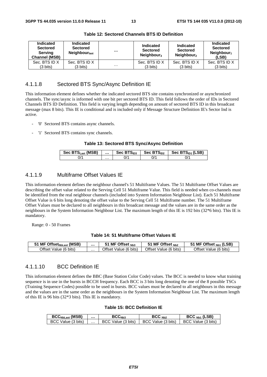| Indicated<br><b>Sectored</b><br><b>Serving</b><br><b>Channel (MSB)</b> | Indicated<br><b>Sectored</b><br>Neighbour <sub>last</sub> | $\cdots$ | Indicated<br><b>Sectored</b><br>Neighbour <sub>3</sub> | Indicated<br><b>Sectored</b><br>Neighbour <sub>2</sub> | Indicated<br><b>Sectored</b><br>Neighbour <sub>1</sub><br>(LSB) |
|------------------------------------------------------------------------|-----------------------------------------------------------|----------|--------------------------------------------------------|--------------------------------------------------------|-----------------------------------------------------------------|
| Sec. BTS ID X                                                          | Sec. BTS ID X                                             |          | Sec. BTS ID X                                          | Sec. BTS ID X                                          | Sec. BTS ID X                                                   |
| $(3 \text{ bits})$                                                     | $(3 \text{ bits})$                                        | $\cdots$ | (3 bits)                                               | $(3 \text{ bits})$                                     | $(3 \text{ bits})$                                              |

**Table 12: Sectored Channels BTS ID Definition** 

### 4.1.1.8 Sectored BTS Sync/Async Definition IE

This information element defines whether the indicated sectored BTS site contains synchronized or asynchronized channels. The sync/async is informed with one bit per sectored BTS ID. This field follows the order of IDs in Sectored Channels BTS ID Definition. This field is varying length depending on amount of sectored BTS ID in this broadcast message (max 8 bits). This IE is conditional and is included only if Message Structure Definition IE's Sector Ind is active.

- '0' Sectored BTS contains async channels.
- '1' Sectored BTS contains sync channels.

#### **Table 13: Sectored BTS Sync/Async Definition**

| Sec BTS <sub>Last</sub> (MSB) |   | Sec $BTS1D3$ | Sec $BTSID2$ | Sec BTS <sub>ID1</sub> (LSB) |
|-------------------------------|---|--------------|--------------|------------------------------|
|                               | . | "ال          | ^ال          | J'                           |

### 4.1.1.9 Multiframe Offset Values IE

This information element defines the neighbour channel's 51 Multiframe Values. The 51 Multiframe Offset Values are describing the offset value related to the Serving Cell 51 Multiframe Value. This field is needed when co-channels must be identified from the real neighbour channels (included into System Information Neighbour List). Each 51 Multiframe Offset Value is 6 bits long denoting the offset value to the Serving Cell 51 Multiframe number. The 51 Multiframe Offset Values must be declared to all neighbours in this broadcast message and the values are in the same order as the neighbours in the System Information Neighbour List. The maximum length of this IE is 192 bits (32\*6 bits). This IE is mandatory.

Range: 0 - 50 Frames

#### **Table 14: 51 Multiframe Offset Values IE**

| I MF Offset <sub>NbLast</sub> (MSB) |   | MF Offset $_{Nb3}$              | MF Offset $_{Nb2}$    | (LSB)<br><sup>-</sup> Offset <sub>Nb1</sub><br>МF |
|-------------------------------------|---|---------------------------------|-----------------------|---------------------------------------------------|
| )ffset Value<br>$(6 \text{ bits})$  | . | . (6 bits)<br>Jttset `<br>Value | Offset Value (6 bits) | Offset<br>Value (6<br>bits <sup>'</sup>           |

### 4.1.1.10 BCC Definition IE

This information element defines the BBC (Base Station Color Code) values. The BCC is needed to know what training sequence is in use in the bursts in BCCH frequency. Each BCC is 3 bits long denoting the one of the 8 possible TSCs (Training Sequence Codes) possible to be used in bursts. BCC values must be declared to all neighbours in this message and the values are in the same order as the neighbours in the System Information Neighbour List. The maximum length of this IE is 96 bits (32\*3 bits). This IE is mandatory.

#### **Table 15: BCC Definition IE**

| $BCCNbLast$ (MSB)  |   | $\mathsf{BCC}_{\mathsf{Nb3}}$ | BCC <sub>Nh2</sub> | $BCCNb1$ (LSB)     |
|--------------------|---|-------------------------------|--------------------|--------------------|
| BCC Value (3 bits) | . | Value (3 bits)<br>BCC.        | BCC Value (3 bits) | BCC Value (3 bits) |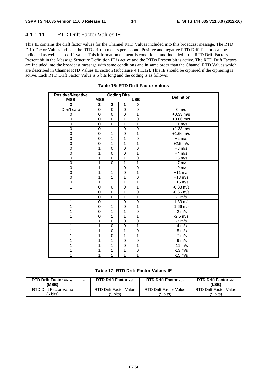### 4.1.1.11 RTD Drift Factor Values IE

This IE contains the drift factor values for the Channel RTD Values included into this broadcast message. The RTD Drift Factor Values indicate the RTD drift in meters per second. Positive and negative RTD Drift Factors can be indicated as well as no drift value. This information element is conditional and included if the RTD Drift Factors Present bit in the Message Structure Definition IE is active and the RTDs Present bit is active. The RTD Drift Factors are included into the broadcast message with same conditions and in same order than the Channel RTD Values which are described in Channel RTD Values IE section (subclause 4.1.1.12). This IE should be ciphered if the ciphering is active. Each RTD Drift Factor Value is 5 bits long and the coding is as follows:

| <b>Positive/Negative</b> |                |                | <b>Coding Bits</b> |             | <b>Definition</b>   |
|--------------------------|----------------|----------------|--------------------|-------------|---------------------|
| <b>MSB</b>               | <b>MSB</b>     |                |                    | <b>LSB</b>  |                     |
| 3                        | 3              | $\mathbf 2$    | 1                  | 0           |                     |
| Don't care               | $\mathbf 0$    | $\overline{0}$ | $\mathbf 0$        | $\mathbf 0$ | $0 \text{ m/s}$     |
| 0                        | $\mathbf 0$    | $\mathbf 0$    | $\mathbf 0$        | 1           | $+0.33$ m/s         |
| $\mathbf 0$              | $\overline{0}$ | $\Omega$       | 1                  | $\mathbf 0$ | $+0.66$ m/s         |
| 0                        | $\mathbf 0$    | $\mathbf 0$    | 1                  | 1           | $+1$ m/s            |
| 0                        | 0              | 1              | 0                  | $\mathbf 0$ | $+1.33$ m/s         |
| $\overline{0}$           | $\mathbf 0$    | 1              | $\mathbf 0$        | 1           | $+1.66$ m/s         |
| 0                        | $\mathbf 0$    | 1              | 1                  | $\mathbf 0$ | $+2$ m/s            |
| $\mathbf 0$              | $\mathbf 0$    | 1              | 1                  | 1           | $+2.5$ m/s          |
| $\mathbf 0$              | 1              | $\mathbf 0$    | $\mathbf 0$        | $\mathbf 0$ | $+3$ m/s            |
| 0                        | 1              | $\mathbf 0$    | 0                  | 1           | $+4$ m/s            |
| $\mathbf 0$              | 1              | $\mathbf 0$    | 1                  | $\mathbf 0$ | $+5$ m/s            |
| 0                        | 1              | 0              | 1                  | 1           | $+7$ m/s            |
| $\mathbf 0$              | 1              | 1              | $\overline{0}$     | $\mathbf 0$ | $+9$ m/s            |
| $\mathbf 0$              | 1              | 1              | $\mathbf 0$        | 1           | $+11$ m/s           |
| $\mathbf 0$              | 1              | 1              | 1                  | $\mathbf 0$ | $+13$ m/s           |
| 0                        | 1              | 1              | 1                  | 1           | $+15$ m/s           |
| 1                        | $\mathbf 0$    | $\mathbf 0$    | $\mathbf 0$        | 1           | $-0.33$ m/s         |
| 1                        | 0              | $\mathbf 0$    | 1                  | $\mathbf 0$ | $-0.66$ m/s         |
| 1                        | 0              | $\mathbf 0$    | 1                  | 1           | $-1$ m/s            |
|                          | 0              | 1              | $\Omega$           | $\Omega$    | $-1.33$ m/s         |
| 1                        | $\mathbf 0$    | 1              | $\Omega$           | 1           | $-1.66 \text{ m/s}$ |
| 1                        | 0              | 1              | 1                  | $\mathbf 0$ | $-2 \text{ m/s}$    |
| 1                        | 0              | 1              | 1                  | 1           | $-2.5 \text{ m/s}$  |
| 1                        | 1              | $\mathbf 0$    | $\mathbf 0$        | $\pmb{0}$   | $-3$ m/s            |
|                          | 1              | $\mathbf 0$    | $\mathbf 0$        | 1           | $-4$ m/s            |
| 1                        | 1              | $\mathbf 0$    | 1                  | $\mathbf 0$ | $-5$ m/s            |
| 1                        | 1              | $\overline{0}$ | 1                  | 1           | $-7$ m/s            |
| 1                        | 1              | 1              | $\mathbf 0$        | $\mathbf 0$ | $-9$ m/s            |
| 1                        | 1              | 1              | $\mathbf 0$        | 1           | $-11$ m/s           |
|                          | 1              | 1              | 1                  | $\mathbf 0$ | $-13$ m/s           |
| 1                        | 1              | 1              | 1                  | 1           | $-15$ m/s           |

#### **Table 16: RTD Drift Factor Values**

#### **Table 17: RTD Drift Factor Values IE**

| <b>RTD Drift Factor NbLast</b><br>(MSB) |   | <b>RTD Drift Factor Nh3</b>   | <b>RTD Drift Factor Nb2</b>   | <b>RTD Drift Factor Nh1</b><br>(LSB) |
|-----------------------------------------|---|-------------------------------|-------------------------------|--------------------------------------|
| RTD Drift Factor Value                  | . | <b>RTD Drift Factor Value</b> | <b>RTD Drift Factor Value</b> | <b>RTD Drift Factor Value</b>        |
| (5 bits)                                |   | (5 bits)                      | (5 bits)                      | (5 bits)                             |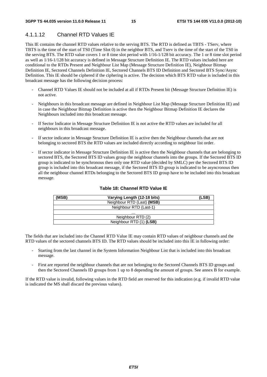### 4.1.1.12 Channel RTD Values IE

This IE contains the channel RTD values relative to the serving BTS. The RTD is defined as TBTS - TServ, where TBTS is the time of the start of TS0 (Time Slot 0) in the neighbor BTS, and Tserv is the time of the start of the TS0 in the serving BTS. The RTD value covers 1 or 8 time slot period with 1/16-1/128 bit accuracy. The 1 or 8 time slot period as well as 1/16-1/128 bit accuracy is defined in Message Structure Definition IE. The RTD values included here are conditional to the RTDs Present and Neighbour List Map (Message Structure Definition IE), Neighbour Bitmap Definition IE, Sectored Channels Definition IE, Sectored Channels BTS ID Definition and Sectored BTS Sync/Async Definition. This IE should be ciphered if the ciphering is active. The decision which BTS RTD value is included in this broadcast message has the following decision process:

- Channel RTD Values IE should not be included at all if RTDs Present bit (Message Structure Definition IE) is not active.
- Neighbours in this broadcast message are defined in Neighbour List Map (Message Structure Definition IE) and in case the Neighbour Bitmap Definition is active then the Neighbour Bitmap Definition IE declares the Neighbours included into this broadcast message.
- If Sector Indicator in Message Structure Definition IE is not active the RTD values are included for all neighbours in this broadcast message.
- If sector indicator in Message Structure Definition IE is active then the Neighbour channels that are not belonging to sectored BTS the RTD values are included directly according to neighbour list order.
- If sector indicator in Message Structure Definition IE is active then the Neighbour channels that are belonging to sectored BTS, the Sectored BTS ID values group the neighbour channels into the groups. If the Sectored BTS ID group is indicated to be synchronous then only one RTD value (decided by SMLC) per the Sectored BTS ID group is included into this broadcast message, if the Sectored BTS ID group is indicated to be asyncronous then all the neighbour channel RTDs belonging to the Sectored BTS ID group have to be included into this broadcast message.

| (MSB) | Varying Length (12-18 bits) | (LSB) |
|-------|-----------------------------|-------|
|       | Neighbour RTD (Last) (MSB)  |       |
|       | Neighbour RTD (Last-1)      |       |
|       | .                           |       |
|       | Neighbour RTD (2)           |       |
|       | Neighbour RTD (1) (LSB)     |       |

#### **Table 18: Channel RTD Value IE**

The fields that are included into the Channel RTD Value IE may contain RTD values of neighbour channels and the RTD values of the sectored channels BTS ID. The RTD values should be included into this IE in following order:

- Starting from the last channel in the System Information Neighbour List that is included into this broadcast message.
- First are reported the neighbour channels that are not belonging to the Sectored Channels BTS ID groups and then the Sectored Channels ID groups from 1 up to 8 depending the amount of groups. See annex B for example.

If the RTD value is invalid, following values in the RTD field are reserved for this indication (e.g. if invalid RTD value is indicated the MS shall discard the previous values).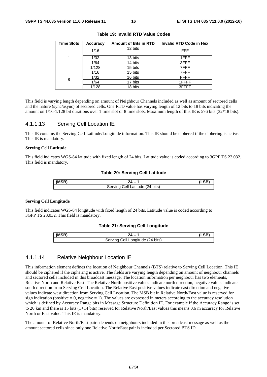| <b>Time Slots</b> | <b>Accuracy</b> | <b>Amount of Bits in RTD</b> | <b>Invalid RTD Code in Hex</b> |
|-------------------|-----------------|------------------------------|--------------------------------|
|                   | 1/16            | 12 bits                      | <b>FFF</b>                     |
| 1                 | 1/32            | 13 bits                      | 1FFF                           |
|                   | 1/64            | 14 bits                      | 3FFF                           |
|                   | 1/128           | 15 bits                      | 7FFF                           |
|                   | 1/16            | 15 bits                      | 7FFF                           |
| 8                 | 1/32            | 16 bits                      | <b>FFFF</b>                    |
|                   | 1/64            | 17 bits                      | 1FFFF                          |
|                   | 1/128           | 18 bits                      | 3FFFF                          |

**Table 19: Invalid RTD Value Codes** 

This field is varying length depending on amount of Neighbour Channels included as well as amount of sectored cells and the nature (sync/async) of sectored cells. One RTD value has varying length of 12 bits to 18 bits indicating the amount on 1/16-1/128 bit durations over 1 time slot or 8 time slots. Maximum length of this IE is 576 bits (32\*18 bits).

#### 4.1.1.13 Serving Cell Location IE

This IE contains the Serving Cell Latitude/Longitude information. This IE should be ciphered if the ciphering is active. This IE is mandatory.

#### **Serving Cell Latitude**

This field indicates WGS-84 latitude with fixed length of 24 bits. Latitude value is coded according to 3GPP TS 23.032. This field is mandatory.

#### **Table 20: Serving Cell Latitude**

| (MSB) |                                      |  |
|-------|--------------------------------------|--|
|       | Cell Latitude (24 bits)<br>Serving ( |  |

#### **Serving Cell Longitude**

This field indicates WGS-84 longitude with fixed length of 24 bits. Latitude value is coded according to 3GPP TS 23.032. This field is mandatory.

#### **Table 21: Serving Cell Longitude**

| (MSB) |                                                      |  |
|-------|------------------------------------------------------|--|
|       | <sup>'t</sup> Longitude (24 bits)<br>∩מוׁוחם<br>ااه: |  |

#### 4.1.1.14 Relative Neighbour Location IE

This information element defines the location of Neighbour Channels (BTS) relative to Serving Cell Location. This IE should be ciphered if the ciphering is active. The fields are varying length depending on amount of neighbour channels and sectored cells included in this broadcast message. The location information per neighbour has two elements, Relative North and Relative East. The Relative North positive values indicate north direction, negative values indicate south direction from Serving Cell Location. The Relative East positive values indicate east direction and negative values indicate west direction from Serving Cell Location. The MSB bit in Relative North/East value is reserved for sign indication (positive  $= 0$ , negative  $= 1$ ). The values are expressed in meters according to the accuracy resolution which is defined by Accuracy Range bits in Message Structure Definition IE. For example if the Accuracy Range is set to 20 km and there is 15 bits (1+14 bits) reserved for Relative North/East values this means 0.6 m accuracy for Relative North or East value. This IE is mandatory.

The amount of Relative North/East pairs depends on neighbours included in this broadcast message as well as the amount sectored cells since only one Relative North/East pair is included per Sectored BTS ID.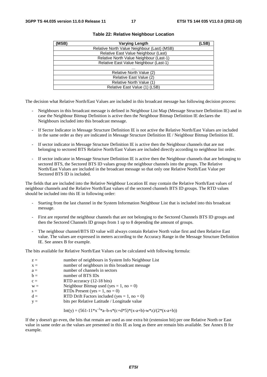| (MSB) | <b>Varying Length</b>                       | (LSB) |
|-------|---------------------------------------------|-------|
|       | Relative North Value Neighbour (Last) (MSB) |       |
|       | Relative East Value Neighbour (Last)        |       |
|       | Relative North Value Neighbour (Last-1)     |       |
|       | Relative East Value Neighbour (Last-1)      |       |
|       | .                                           |       |
|       | Relative North Value (2)                    |       |
|       | Relative East Value (2)                     |       |
|       | Relative North Value (1)                    |       |
|       | Relative East Value (1) (LSB)               |       |

#### **Table 22: Relative Neighbour Location**

The decision what Relative North/East Values are included in this broadcast message has following decision process:

- Neighbours in this broadcast message is defined in Neighbour List Map (Message Structure Definition IE) and in case the Neighbour Bitmap Definition is active then the Neighbour Bitmap Definition IE declares the Neighbours included into this broadcast message.
- If Sector Indicator in Message Structure Definition IE is not active the Relative North/East Values are included in the same order as they are indicated in Message Structure Definition IE / Neighbour Bitmap Definition IE.
- If sector indicator in Message Structure Definition IE is active then the Neighbour channels that are not belonging to sectored BTS Relative North/East Values are included directly according to neighbour list order.
- If sector indicator in Message Structure Definition IE is active then the Neighbour channels that are belonging to sectored BTS, the Sectored BTS ID values group the neighbour channels into the groups. The Relative North/East Values are included in the broadcast message so that only one Relative North/East Value per Sectored BTS ID is included.

The fields that are included into the Relative Neighbour Location IE may contain the Relative North/East values of neighbour channels and the Relative North/East values of the sectored channels BTS ID groups. The RTD values should be included into this IE in following order:

- Starting from the last channel in the System Information Neighbour List that is included into this broadcast message.
- First are reported the neighbour channels that are not belonging to the Sectored Channels BTS ID groups and then the Sectored Channels ID groups from 1 up to 8 depending the amount of groups.
- The neighbour channel/BTS ID value will always contain Relative North value first and then Relative East value. The values are expressed in meters according to the Accuracy Range in the Message Structure Definition IE. See annex B for example.

The bits available for Relative North/East Values can be calculated with following formula:

| $z =$<br>$x =$ | number of neighbours in System Info Neighbour List<br>number of neighbours in this broadcast message |
|----------------|------------------------------------------------------------------------------------------------------|
| $a =$          | number of channels in sectors                                                                        |
| $b =$          | number of BTS IDs                                                                                    |
| $c =$          | RTD accuracy (12-18 bits)                                                                            |
| $W =$          | Neighbour Bitmap used (yes = 1, no = 0)                                                              |
| $s =$          | RTDs Present (yes = $1$ , no = 0)                                                                    |
| $d =$          | RTD Drift Factors included (yes = $1$ , no = 0)                                                      |
| $V =$          | bits per Relative Latitude / Longitude value                                                         |

Int(y) = 
$$
(561-11*x^{-3}a-b-s*(c+d*5)*(x-a+b)-w*z)/(2*(x-a+b))
$$

If the y doesn't go even, the bits that remain are used as one extra bit (extension bit) per one Relative North or East value in same order as the values are presented in this IE as long as there are remain bits available. See Annex B for example.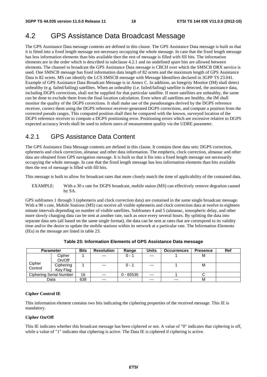# 4.2 GPS Assistance Data Broadcast Message

The GPS Assistance Data message contents are defined in this clause. The GPS Assistance Data message is built so that it is fitted into a fixed length message not necessary occupying the whole message. In case that the fixed length message has less information elements than bits available then the rest of message is filled with fill bits. The information elements are in the order which is described in subclause 4.2.1 and no undefined spare bits are allowed between elements. The channel to broadcast the GPS Assistance Data message is CBCH over which the SMSCB DRX service is used. One SMSCB message has fixed information data length of 82 octets and the maximum length of GPS Assistance Data is 82 octets. MS can identify the LCS SMSCB message with Message Identifiers declared in 3GPP TS 23.041. Example of GPS Assistance Data Broadcast Message is in Annex C. In addition, an Integrity Monitor (IM) shall detect unhealthy (e.g. failed/failing) satellites. When an unhealthy (i.e. failed/failing) satellite is detected, the assistance data, including DGPS corrections, shall not be supplied for that particular satellite. If more satellites are unhealthy, the same can be done to exclude them from the final location calculation. Even when all satellites are healthy, the IM shall monitor the quality of the DGPS corrections. It shall make use of the pseudoranges derived by the DGPS reference receiver, correct them using the DGPS reference receiver-generated DGPS corrections, and compute a position from the corrected pseudo ranges. This computed position shall then be compared with the known, surveyed location of the DGPS reference receiver to compute a DGPS positioning error. Positioning errors which are excessive relative to DGPS expected accuracy levels shall be used to inform users of measurement quality via the UDRE parameter.

### 4.2.1 GPS Assistance Data Content

The GPS Assistance Data Message contents are defined in this clause. It contains three data sets: DGPS correction, ephemeris and clock correction, almanac and other data information. The empheris, clock correction, almanac and other data are obtained from GPS navigation message. It is built so that it fits into a fixed length message not necessarily occupying the whole message. In case that the fixed length message has less information elements than bits available then the rest of message is filled with fill bits.

This message is built to allow for broadcast rates that more closely match the time of applicability of the contained data.

EXAMPLE: With a 30 s rate for DGPS broadcast, mobile staion (MS) can effectively remove degration caused by SA.

GPS subframes 1 through 3 (ephemeris and clock correction data) are contained in the same single broadcast message. With a 90 s rate, Mobile Stations (MS) can receive all visible ephemeris and clock correction data at twelve to eighteen minute intervals depending on number of visible satellites. Subframes 4 and 5 (almanac, ionospheric delay, and other more slowly changing data can be sent at another rate, such as once every several hours. By splitting the data into separate data sets (all based on the same single format), the data can be sent at rates that are correspond to its validity time and/or the desire to update the mobile stations within its network at a particular rate. The Information Elements (IEs) in the message are listed in table 23.

|         | <b>Parameter</b>        | <b>Bits</b> | <b>Resolution</b> | Range       | <b>Units</b> | <b>Occurrences</b> | <b>Presence</b> | Ref |
|---------|-------------------------|-------------|-------------------|-------------|--------------|--------------------|-----------------|-----|
|         | Cipher                  |             | $---$             | $0 - 1$     | $---$        |                    | м               |     |
|         | On/Off                  |             |                   |             |              |                    |                 |     |
| Cipher  | Ciphering               |             | $---$             | $0 - 1$     | $---$        |                    | м               |     |
| Control | Key Flag                |             |                   |             |              |                    |                 |     |
|         | Ciphering Serial Number | 16          | $---$             | $0 - 65535$ | $--$         |                    |                 |     |
|         | Data                    | 638         | $---$             |             | $---$        | $---$              | M               |     |

**Table 23: Information Elements of GPS Assistance Data message** 

#### **Cipher Control IE**

This information element contains two bits indicating the ciphering properties of the received message. This IE is mandatory.

#### **Cipher On/Off**

This IE indicates whether this broadcast message has been ciphered or not. A value of "0" indicates that ciphering is off, while a value of "1" indicates that ciphering is active. The Data IE is ciphered if ciphering is active.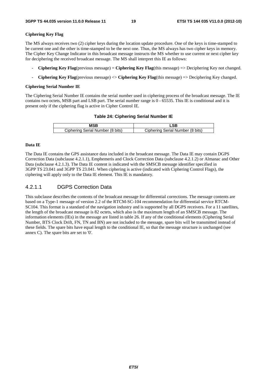#### **Ciphering Key Flag**

The MS always receives two (2) cipher keys during the location update procedure. One of the keys is time-stamped to be current one and the other is time-stamped to be the next one. Thus, the MS always has two cipher keys in memory. The Cipher Key Change Indicator in this broadcast message instructs the MS whether to use current or next cipher key for deciphering the received broadcast message. The MS shall interpret this IE as follows:

- **Ciphering Key Flag**(previous message) = **Ciphering Key Flag**(this message) => Deciphering Key not changed.
- **Ciphering Key Flag**(previous message) <> **Ciphering Key Flag**(this message) => Deciphering Key changed.

#### **Ciphering Serial Number IE**

The Ciphering Serial Number IE contains the serial number used in ciphering process of the broadcast message. The IE contains two octets, MSB part and LSB part. The serial number range is 0 - 65535. This IE is conditional and it is present only if the ciphering flag is active in Cipher Control IE.

#### **Table 24: Ciphering Serial Number IE**

| Ciphering Serial Number (8 bits) | Ciphering Serial Number (8 bits) |
|----------------------------------|----------------------------------|

#### **Data IE**

The Data IE contains the GPS assistance data included in the broadcast message. The Data IE may contain DGPS Correction Data (subclause 4.2.1.1), Emphemeris and Clock Correction Data (subclause 4.2.1.2) or Almanac and Other Data (subclause 4.2.1.3). The Data IE content is indicated with the SMSCB message identifier specified in 3GPP TS 23.041 and 3GPP TS 23.041. When ciphering is active (indicated with Ciphering Control Flags), the ciphering will apply only to the Data IE element. This IE is mandatory.

### 4.2.1.1 DGPS Correction Data

This subclause describes the contents of the broadcast message for differential corrections. The message contents are based on a Type-1 message of version 2.2 of the RTCM-SC-104 recommendation for differential service RTCM-SC104. This format is a standard of the navigation industry and is supported by all DGPS receivers. For a 11 satellites, the length of the broadcast message is 82 octets, which also is the maximum length of an SMSCB message. The information elements (IEs) in the message are listed in table 26. If any of the conditional elements (Ciphering Serial Number, BTS Clock Drift, FN, TN and BN) are not included to the message, spare bits will be transmitted instead of these fields. The spare bits have equal length to the conditional IE, so that the message structure is unchanged (see annex C). The spare bits are set to '0'.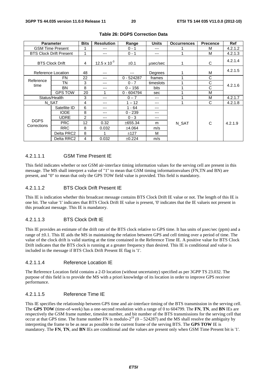|                            | <b>Parameter</b>               | <b>Bits</b> | <b>Resolution</b> | Range        | <b>Units</b> | <b>Occurrences</b> | <b>Precence</b> | <b>Ref</b> |
|----------------------------|--------------------------------|-------------|-------------------|--------------|--------------|--------------------|-----------------|------------|
| <b>GSM Time Present</b>    |                                |             | ---               | $0 - 1$      | ---          |                    | м               | 4.2.1.2    |
|                            | <b>BTS Clock Drift Present</b> | 1           | ---               | $0 - 1$      | ---          |                    | м               | 4.2.1.3    |
| <b>BTS Clock Drift</b>     |                                | 4           | 12.5 x $10^{-3}$  | $\pm 0.1$    | usec/sec     |                    | C               | 4.2.1.4    |
|                            | Reference Location             | 48          | ---               | ---          | Degrees      |                    | M               | 4.2.1.5    |
|                            | FN                             | 22          | ---               | $0 - 524287$ | frames       |                    | C               |            |
| Reference<br>time          | ΤN                             | 3           | ---               | $0 - 7$      | timeslots    |                    | С               | 4.2.1.6    |
|                            | <b>BN</b>                      | 8           | ---               | $0 - 156$    | bits         |                    | C               |            |
|                            | <b>GPS TOW</b>                 | 20          | 1                 | 0 - 604794   | sec          |                    | М               |            |
| Status/Health              |                                | 3           | ---               | $0 - 7$      | ---          |                    | м               | 4.2.1.7    |
|                            | N SAT                          | 4           | ---               | $1 - 12$     | ---          |                    | C               | 4.2.1.8    |
|                            | Satellite ID                   | 6           | ---               | $1 - 64$     | ---          |                    |                 |            |
|                            | <b>IODE</b>                    | 8           | ---               | $0 - 239$    | ---          |                    |                 |            |
|                            | <b>UDRE</b>                    | 2           | $---$             | $0 - 3$      | ---          |                    |                 |            |
| <b>DGPS</b><br>Corrections | <b>PRC</b>                     | 12          | 0.32              | ±655.34      | m            | N SAT              | C               | 4.2.1.9    |
|                            | <b>RRC</b>                     | 8           | 0.032             | ±4.064       | m/s          |                    |                 |            |
|                            | Delta PRC2                     | 8           | 1                 | ±127         | м            |                    |                 |            |
|                            | Delta RRC2                     | 4           | 0.032             | ±0.224       | m/s          |                    |                 |            |

#### **Table 26: DGPS Correction Data**

#### 4.2.1.1.1 GSM Time Present IE

This field indicates whether or not GSM air-interface timing information values for the serving cell are present in this message. The MS shall interpret a value of "1" to mean that GSM timing informationvalues (FN,TN and BN) are present, and "0" to mean that only the GPS TOW field value is provided. This field is mandatory.

#### 4.2.1.1.2 BTS Clock Drift Present IE

This IE is indication whether this broadcast message contains BTS Clock Drift IE value or not. The length of this IE is one bit. The value '1' indicates that BTS Clock Drift IE value is present, '0' indicates that the IE valueis not present in this proadcast message. This IE is mandatory.

#### 4.2.1.1.3 BTS Clock Drift IE

This IE provides an estimate of the drift rate of the BTS clock relative to GPS time. It has units of μsec/sec (ppm) and a range of ±0.1. This IE aids the MS in maintaining the relation between GPS and cell timing over a period of time. The value of the clock drift is valid starting at the time contained in the Reference Time IE. A positive value for BTS Clock Drift indicates that the BTS clock is running at a greater frequency than desired. This IE is conditional and value is included in the message if BTS Clock Drift Present IE flag is '1'.

#### 4.2.1.1.4 Reference Location IE

The Reference Location field contains a 2-D location (without uncertainty) specified as per 3GPP TS 23.032. The purpose of this field is to provide the MS with a priori knowledge of its location in order to improve GPS receiver performance.

#### 4.2.1.1.5 Reference Time IE

This IE specifies the relationship between GPS time and air-interface timing of the BTS transmission in the serving cell. The **GPS TOW** (time-of-week) has a one-second resolution with a range of 0 to 604799. The **FN**, **TN**, and **BN** IEs are respectively the GSM frame number, timeslot number, and bit number of the BTS transmissions for the serving cell that occur at that GPS time. The frame number FN is modulo- $2^{19}$  (0 – 524287) and the MS shall resolve the ambiguity by interpreting the frame to be as near as possible to the current frame of the serving BTS. The **GPS TOW** IE is mandatory. The **FN**, **TN**, and **BN** IEs are conditional and the values are present only when GSM Time Present bit is '1'.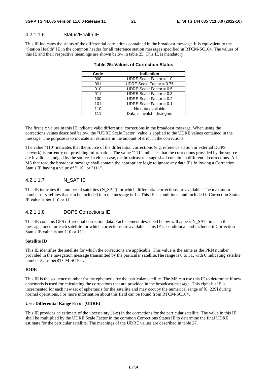#### 4.2.1.1.6 Status/Health IE

This IE indicates the status of the differential corrections contained in the broadcast message. It is equivalent to the "Station Health" IE in the common header for all reference station messages specified in RTCM-SC104. The values of this IE and their respective meanings are shown below in table 25. This IE is mandatory.

| Code | <b>Indication</b>           |
|------|-----------------------------|
| 000  | UDRE Scale Factor = $1.0$   |
| 001  | UDRE Scale Factor = $0.75$  |
| 010  | UDRE Scale Factor = $0.5$   |
| 011  | UDRE Scale Factor = $0.3$   |
| 100  | UDRE Scale Factor = $0.2$   |
| 101  | UDRE Scale Factor = $0.1$   |
| 110  | No data available           |
| 111  | Data is invalid - disregard |
|      |                             |

#### **Table 25: Values of Correction Status**

The first six values in this IE indicate valid differential corrections in the broadcast message. When using the corrections values described below, the "UDRE Scale Factor" value is applied to the UDRE values contained in the message. The purpose is to indicate an estimate in the amount of error in the corrections.

The value "110" indicates that the source of the differential corrections (e.g. reference station or external DGPS network) is currently not providing information. The value "111" indicates that the corrections provided by the source are invalid, as judged by the source. In either case, the broadcast message shall contain no differential corrections. All MS that read the broadcast message shall contain the appropriate logic to ignore any data IEs following a Correction Status IE having a value of "110" or "111".

#### 4.2.1.1.7 N\_SAT IE

This IE indicates the number of satellites (N\_SAT) for which differential corrections are available. The maximum number of satellites that can be included into the message is 12. This IE is conditional and included if Correction Status IE value is not 110 or 111.

#### 4.2.1.1.8 DGPS Corrections IE

This IE contains GPS differential correction data. Each element described below will appear N\_SAT times in this message, once for each satellite for which corrections are available. This IE is conditional and included if Correction Status IE value is not 110 or 111.

#### **Satellite ID**

This IE identifies the satellite for which the corrections are applicable. This value is the same as the PRN number provided in the navigation message transmitted by the particular satellite.The range is 0 to 31, with 0 indicating satellite number 32 as perRTCM-SC104.

#### **IODE**

This IE is the sequence number for the ephemeris for the particular satellite. The MS can use this IE to determine if new ephemeris is used for calculating the corrections that are provided in the broadcast message. This eight-bit IE is incremented for each new set of ephemeris for the satellite and may occupy the numerical range of [0, 239] during normal operations. For more information about this field can be found from RTCM-SC104.

#### **User Differential Range Error (UDRE)**

This IE provides an estimate of the uncertainty  $(1-\sigma)$  in the corrections for the particular satellite. The value in this IE shall be multiplied by the UDRE Scale Factor in the common Corrections Status IE to determine the final UDRE estimate for the particular satellite. The meanings of the UDRE values are described in table 27.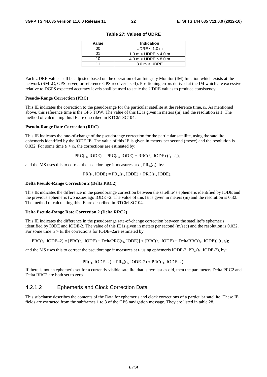| Value | <b>Indication</b>             |
|-------|-------------------------------|
| n۵    | UDRE $\leq 1.0$ m             |
| ሰ1    | 1.0 m $<$ UDRE $\leq$ 4.0 m   |
| 10    | 4.0 m $<$ UDRE $\leq$ 8.0 m   |
| 11    | $8.0 \text{ m} < \text{UDRE}$ |

**Table 27: Values of UDRE** 

Each UDRE value shall be adjusted based on the operation of an Integrity Monitor (IM) function which exists at the network (SMLC, GPS server, or reference GPS receiver itself). Positioning errors derived at the IM which are excessive relative to DGPS expected accuracy levels shall be used to scale the UDRE values to produce consistency.

#### **Pseudo-Range Correction (PRC)**

This IE indicates the correction to the pseudorange for the particular satellite at the reference time, *t*0. As mentioned above, this reference time is the GPS TOW. The value of this IE is given in meters (m) and the resolution is 1. The method of calculating this IE are described in RTCM-SC104.

#### **Pseudo-Range Rate Correction (RRC)**

This IE indicates the rate-of-change of the pseudorange correction for the particular satellite, using the satellite ephemeris identified by the IODE IE. The value of this IE is given in meters per second (m/sec) and the resolution is 0.032. For some time  $t_1 > t_0$ , the corrections are estimated by:

 $PRC(t_1, IODE) = PRC(t_0, IODE) + RRC(t_0, IODE) \cdot (t_1 - t_0),$ 

and the MS uses this to correct the pseudorange it measures at  $t_1$ ,  $PR_m(t_1)$ , by:

$$
PR(t_1, \text{IODE}) = PR_m(t_1, \text{IODE}) + PRC(t_1, \text{IODE}).
$$

#### **Delta Pseudo-Range Correction 2 (Delta PRC2)**

This IE indicates the difference in the pseudorange correction between the satellite"s ephemeris identified by IODE and the previous ephemeris two issues ago IODE –2. The value of this IE is given in meters (m) and the resolution is 0.32. The method of calculating this IE are described in RTCM-SC104.

#### **Delta Pseudo-Range Rate Correction 2 (Delta RRC2)**

This IE indicates the difference in the pseudorange rate-of-change correction between the satellite"s ephemeris identified by IODE and IODE-2. The value of this IE is given in meters per second (m/sec) and the resolution is 0.032. For some time  $t_1 > t_0$ , the corrections for IODE–2are estimated by:

$$
PRC(t_1, \text{IODE}-2) = [PRC(t_0, \text{IODE}) + \text{Delta}PRC(t_0, \text{IODE})] + [RRC(t_0, \text{IODE}) + \text{Delta}RRC(t_0, \text{IODE})] \cdot (t_1 \cdot t_0);
$$

and the MS uses this to correct the pseudorange it measures at  $t_1$  using ephemeris IODE-2,  $PR_m(t_1, IODE-2)$ , by:

$$
PR(t_1, IODE-2) = PR_m(t_1, IODE-2) + PRC(t_1, IODE-2).
$$

If there is not an ephemeris set for a currently visible satellite that is two issues old, then the parameters Delta PRC2 and Delta RRC2 are both set to zero.

### 4.2.1.2 Ephemeris and Clock Correction Data

This subclause describes the contents of the Data for ephemeris and clock corrections of a particular satellite. These IE fields are extracted from the subframes 1 to 3 of the GPS navigation message. They are listed in table 28.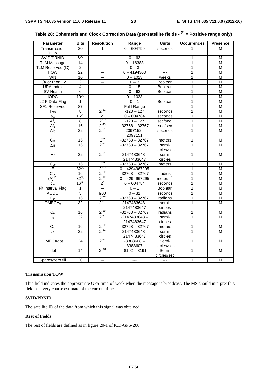| <b>Parameter</b>            | <b>Bits</b>     | <b>Resolution</b>         | Range                     | <b>Units</b>         | <b>Occurrences</b> | <b>Presence</b> |
|-----------------------------|-----------------|---------------------------|---------------------------|----------------------|--------------------|-----------------|
| Transmission                | 20              | 1                         | $0 - 604799$              | seconds              | 1                  | M               |
| <b>TOW</b>                  |                 |                           |                           |                      |                    |                 |
| SVID/PRNID                  | $6^{(1)}$       | $---$                     | $0 - 63$                  | $---$                | 1                  | M               |
| <b>TLM Message</b>          | 14              | ---                       | $0 - 16383$               | $---$                | $\mathbf{1}$       | M               |
| TLM Reserved (C)            | $\overline{2}$  | $---$                     | $0 - 3$                   | $\cdots$             | 1                  | M               |
| <b>HOW</b>                  | 22              | ---                       | $0 - 4194303$<br>$\cdots$ |                      | 1                  | M               |
| <b>WN</b>                   | $\overline{10}$ | $---$                     | $0 - 1023$                | weeks                | 1                  | M               |
| C/A or P on L2              | $\overline{c}$  | ---                       | $0 - 3$                   | Boolean              | 1                  | M               |
| <b>URA</b> Index            | $\overline{4}$  | $---$                     | $0 - 15$                  | Boolean              | $\overline{1}$     | M               |
| SV Health                   | $\overline{6}$  | $---$                     | $0 - 63$                  | Boolean              | 1                  | М               |
| <b>IODC</b>                 | $10^{(1)}$      | ---                       | $0 - 1023$                | $\sim$               | 1                  | M               |
| L <sub>2</sub> P Data Flag  | $\mathbf{1}$    | $---$                     | $0 - 1$                   | Boolean              | 1                  | M               |
| SF1 Reserved                | 87              | $\overline{a}$            | Ful I Range               | $\overline{a}$       | 1                  | M               |
| $T_{GD}$                    | 8               | $2^{31}$                  | $-128 - 127$              | seconds              | 1                  | M               |
| $t_{oc}$                    | $16^{(1)}$      | 2 <sup>4</sup>            | $0 - 604784$              | seconds              | 1                  | M               |
| Af <sub>2</sub>             | 8               |                           | $-128 - 127$              | sec/sec <sup>2</sup> | 1                  | M               |
| $\overline{Af_1}$           | $\overline{16}$ | $\frac{2^{-55}}{2^{-43}}$ | $-32768 - 32767$          | sec/sec              | 1                  | M               |
| Af <sub>0</sub>             | $\overline{22}$ | $2^{-31}$                 | $-2097152-$               | seconds              | $\mathbf{1}$       | M               |
|                             |                 |                           | 2097151                   |                      |                    |                 |
| $C_{rs}$                    | 16              |                           | $-32768 - 32767$          | meters               | 1                  | M               |
| $\Delta n$                  | 16              | $\frac{2^{5}}{2^{43}}$    | $-32768 - 32767$          | semi-                | 1                  | M               |
|                             |                 |                           |                           | circles/sec          |                    |                 |
| M <sub>0</sub>              | 32              | $2^{-31}$                 | $-2147483648 -$           | semi-                | $\mathbf{1}$       | M               |
|                             |                 |                           | 2147483647                | circles              |                    |                 |
| $C_{uc}$                    | 16              | $2^{5}$                   | $-32768 - 32767$          | meters               | 1                  | M               |
| Е                           | $32^{(1)}$      | $2^{-33}$                 | $0 - 4294967295$          | $\sim$               | 1                  | M               |
|                             | 16              | $2^{-29}$                 | $-32768 - 32767$          | radius               | 1                  | M               |
| $\frac{C_{us}}{(A)^{1/2}}$  | $32^{(1)}$      | $2^{-19}$                 | $0 - 4294967295$          | meters $^{1/2}$      | 1                  | M               |
| $t_{oe}$                    | $16^{(1)}$      | 2 <sup>4</sup>            | $0 - 604784$              | seconds              | 1                  | M               |
| Fit Interval Flag           | 1               | $\overline{a}$            | $0 - 1$                   | Boolean              | 1                  | M               |
| <b>AODO</b>                 | $\overline{5}$  | $\overline{900}$          | $0 - 31$                  | seconds              | 1                  | M               |
| $C_{ic}$                    | 16              | $2^{-29}$                 | $-32768 - 32767$          | radians              | 1                  | $\overline{M}$  |
| $\overline{\text{OMEGA}}_0$ | $\overline{32}$ | $2^{-31}$                 | $-2147483648 -$           | semi-                | $\mathbf{1}$       | M               |
|                             |                 |                           | 2147483647                | circles              |                    |                 |
| $C_{is}$                    | 16              |                           | $-32768 - 32767$          | radians              | 1                  | M               |
| io                          | 32              | $\frac{2^{29}}{2^{31}}$   | $-2147483648 -$           | semi-                | 1                  | M               |
|                             |                 |                           | 2147483647                | circles              |                    |                 |
| $C_{rc}$                    | 16              |                           | $-32768 - 32767$          | meters               | 1                  | M               |
| $\omega$                    | 32              | $\frac{2^{29}}{2^{31}}$   | $-2147483648 -$           | semi-                | $\mathbf{1}$       | M               |
|                             |                 |                           | 2147483647                | circles              |                    |                 |
| <b>OMEGAdot</b>             | 24              | $2^{-43}$                 | $-8388608-$               | Semi-                | 1                  | M               |
|                             |                 |                           | 8388607                   | circles/sec          |                    |                 |
| <b>Idot</b>                 | 14              | $2^{-43}$                 | $-8192 - 8191$            | Semi-                | $\mathbf{1}$       | M               |
|                             |                 |                           |                           | circles/sec          |                    |                 |
| Spares/zero fill            | 20              | $---$                     | $\overline{a}$            | $\overline{a}$       | $\mathbf{1}$       | M               |
|                             |                 |                           |                           |                      |                    |                 |

|  | Table 28: Ephemeris and Clock Correction Data (per-satellite fields - <sup>(1)</sup> = Positive range only) |  |
|--|-------------------------------------------------------------------------------------------------------------|--|
|--|-------------------------------------------------------------------------------------------------------------|--|

#### **Transmission TOW**

This field indicates the approximate GPS time-of-week when the message is broadcast. The MS should interpret this field as a very coarse estimate of the current time.

#### **SVID/PRNID**

The satellite ID of the data from which this signal was obtained.

#### **Rest of Fields**

The rest of fields are defined as in figure 20-1 of ICD-GPS-200.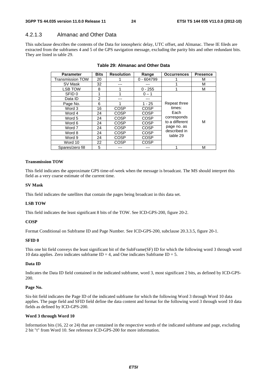### 4.2.1.3 Almanac and Other Data

This subclause describes the contents of the Data for ionospheric delay, UTC offset, and Almanac. These IE fileds are extracted from the subframes 4 and 5 of the GPS navigation message, excluding the parity bits and other redundant bits. They are listed in table 29.

| <b>Parameter</b>        | <b>Bits</b>    | <b>Resolution</b> | Range        | <b>Occurrences</b> | <b>Presence</b> |
|-------------------------|----------------|-------------------|--------------|--------------------|-----------------|
| <b>Transmission TOW</b> | 20             |                   | $0 - 604799$ |                    | м               |
| SV Mask                 | 32             |                   |              |                    | м               |
| LSB TOW                 | 8              |                   | $0 - 255$    |                    | м               |
| SFID 0                  | 1              |                   | $0 - 1$      |                    |                 |
| Data ID                 | $\overline{2}$ |                   |              |                    |                 |
| Page No.                | 6              |                   | $1 - 25$     | Repeat three       |                 |
| Word 3                  | 16             | COSP              | COSP         | times:<br>Each     |                 |
| Word 4                  | 24             | <b>COSP</b>       | <b>COSP</b>  |                    |                 |
| Word 5                  | 24             | COSP              | COSP         | corresponds        |                 |
| Word 6                  | 24             | COSP              | COSP         | to a different     | М               |
| Word 7                  | 24             | COSP              | COSP         | page no. as        |                 |
| Word 8                  | 24             | COSP              | COSP         | described in       |                 |
| Word 9                  | 24             | COSP              | COSP         | table 29           |                 |
| Word 10                 | 22             | COSP              | COSP         |                    |                 |
| Spares/zero fill        | 5              |                   |              |                    | М               |

#### **Table 29: Almanac and Other Data**

#### **Transmission TOW**

This field indicates the approximate GPS time-of-week when the message is broadcast. The MS should interpret this field as a very coarse estimate of the current time.

#### **SV Mask**

This field indicates the satellites that contain the pages being broadcast in this data set.

#### **LSB TOW**

This field indicates the least significant 8 bits of the TOW. See ICD-GPS-200, figure 20-2.

#### **COSP**

Format Conditional on Subframe ID and Page Number. See ICD-GPS-200, subclause 20.3.3.5, figure 20-1.

#### **SFID 0**

This one bit field conveys the least significant bit of the SubFrame(SF) ID for which the following word 3 through word 10 data applies. Zero indicates subframe  $ID = 4$ , and One indicates Subframe  $ID = 5$ .

#### **Data ID**

Indicates the Data ID field contained in the indicated subframe, word 3, most significant 2 bits, as defined by ICD-GPS-200.

#### **Page No.**

Six-bit field indicates the Page ID of the indicated subframe for which the following Word 3 through Word 10 data applies. The page field and SFID field define the data content and format for the following word 3 through word 10 data fields as defined by ICD-GPS-200.

#### **Word 3 through Word 10**

Information bits (16, 22 or 24) that are contained in the respective words of the indicated subframe and page, excluding 2 bit "t" from Word 10. See reference ICD-GPS-200 for more information.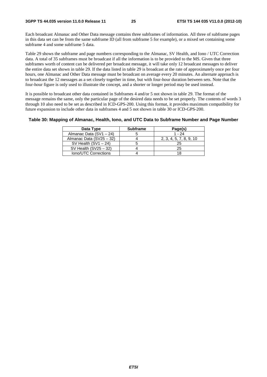Each broadcast Almanac and Other Data message contains three subframes of information. All three of subframe pages in this data set can be from the same subframe ID (all from subframe 5 for example), or a mixed set containing some subframe 4 and some subframe 5 data.

Table 29 shows the subframe and page numbers corresponding to the Almanac, SV Health, and Iono / UTC Correction data. A total of 35 subframes must be broadcast if all the information is to be provided to the MS. Given that three subframes worth of content can be delivered per broadcast message, it will take only 12 broadcast messages to deliver the entire data set shown in table 29. If the data listed in table 29 is broadcast at the rate of approximately once per four hours, one Almanac and Other Data message must be broadcast on average every 20 minutes. An alternate approach is to broadcast the 12 messages as a set closely together in time, but with four-hour duration between sets. Note that the four-hour figure is only used to illustrate the concept, and a shorter or longer period may be used instead.

It is possible to broadcast other data contained in Subframes 4 and/or 5 not shown in table 29. The format of the message remains the same, only the particular page of the desired data needs to be set properly. The contents of words 3 through 10 also need to be set as described in ICD-GPS-200. Using this format, it provides maximum compatibility for future expansion to include other data in subframes 4 and 5 not shown in table 30 or ICD-GPS-200.

#### **Table 30: Mapping of Almanac, Health, Iono, and UTC Data to Subframe Number and Page Number**

| Data Type                | <b>Subframe</b> | Page(s)                 |
|--------------------------|-----------------|-------------------------|
| Almanac Data (SV1 - 24)  |                 | $1 - 24$                |
| Almanac Data (SV25 - 32) |                 | 2, 3, 4, 5, 7, 8, 9, 10 |
| SV Health $(SV1 - 24)$   |                 | 25                      |
| SV Health $(SV25 - 32)$  |                 | 25                      |
| Iono/UTC Corrections     |                 |                         |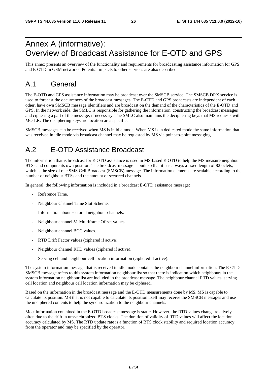# Annex A (informative): Overview of Broadcast Assistance for E-OTD and GPS

This annex presents an overview of the functionality and requirements for broadcasting assistance information for GPS and E-OTD in GSM networks. Potential impacts to other services are also described.

# A.1 General

The E-OTD and GPS assistance information may be broadcast over the SMSCB service. The SMSCB DRX service is used to forecast the occurrences of the broadcast messages. The E-OTD and GPS broadcasts are independent of each other, have own SMSCB message identifiers and are broadcast on the demand of the characteristics of the E-OTD and GPS. In the network side, the SMLC is responsible for gathering the information, constructing the broadcast messages and ciphering a part of the message, if necessary. The SMLC also maintains the deciphering keys that MS requests with MO-LR. The deciphering keys are location area specific.

SMSCB messages can be received when MS is in idle mode. When MS is in dedicated mode the same information that was received in idle mode via broadcast channel may be requested by MS via point-to-point messaging.

# A.2 E-OTD Assistance Broadcast

The information that is broadcast for E-OTD assistance is used in MS-based E-OTD to help the MS measure neighbour BTSs and compute its own position. The broadcast message is built so that it has always a fixed length of 82 octets, which is the size of one SMS Cell Broadcast (SMSCB) message. The information elements are scalable according to the number of neighbour BTSs and the amount of sectored channels.

In general, the following information is included in a broadcast E-OTD assistance message:

- Reference Time.
- Neighbour Channel Time Slot Scheme.
- Information about sectored neighbour channels.
- Neighbour channel 51 Multiframe Offset values.
- Neighbour channel BCC values.
- RTD Drift Factor values (ciphered if active).
- Neighbour channel RTD values (ciphered if active).
- Serving cell and neighbour cell location information (ciphered if active).

The system information message that is received in idle mode contains the neighbour channel information. The E-OTD SMSCB message refers to this system information neighbour list so that there is indication which neighbours in the system information neighbour list are included in the broadcast message. The neighbour channel RTD values, serving cell location and neighbour cell location information may be ciphered.

Based on the information in the broadcast message and the E-OTD measurements done by MS, MS is capable to calculate its position. MS that is not capable to calculate its position itself may receive the SMSCB messages and use the unciphered contents to help the synchronization to the neighbour channels.

Most information contained in the E-OTD broadcast message is static. However, the RTD values change relatively often due to the drift in unsynchronized BTS clocks. The duration of validity of RTD values will affect the location accuracy calculated by MS. The RTD update rate is a function of BTS clock stability and required location accuracy from the operator and may be specified by the operator.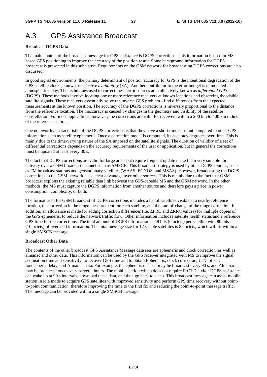# A.3 GPS Assistance Broadcast

#### **Broadcast DGPS Data**

The main content of the broadcast message for GPS assistance is DGPS corrections. This information is used in MSbased GPS positioning to improve the accuracy of the position result. Some background information for DGPS broadcast is presented in this subclause. Requirements on the GSM network for broadcasting DGPS corrections are also discussed.

In good signal environments, the primary determinant of position accuracy for GPS is the intentional degradation of the GPS satellite clocks, known as *selective availability* (SA). Another contributor to the error budget is unmodeled atmospheric delay. The techniques used to correct these error sources are collectively known as *differential GPS* (DGPS). These methods involve locating one or more reference receivers at known locations and observing the visible satellite signals. These receivers essentially solve the inverse GPS problem - find differences from the expected measurements at the known position. The accuracy of the DGPS corrections is inversely proportional to the distance from the reference location. The inaccuracy is caused by changes in the geometry and visibility of the satellite constellation. For most applications, however, the corrections are valid for receivers within a 200 km to 400 km radius of the reference station.

One noteworthy characteristic of the DGPS corrections is that they have a short time constant compared to other GPS information such as satellite ephemeris. Once a correction model is computed, its accuracy degrades over time. This is mainly due to the time-varying nature of the SA imposed on the satellite signals. The duration of validity of a set of differential corrections depends on the accuracy requirements of the user or application, but in general the corrections must be updated at least every 30 s.

The fact that DGPS corrections are valid for large areas but require frequent update make them very suitable for delivery over a GSM broadcast channel such as SMSCB. This broadcast strategy is used by other DGPS sources, such as FM broadcast stations and geostationary satellites (WAAS, EGNOS, and MSAS). However, broadcasting the DGPS corrections in the GSM network has a clear advantage over other sources. This is mainly due to the fact that GSM broadcast exploits the existing reliable data link between the GPS-capable MS and the GSM network. In the other methods, the MS must capture the DGPS information from another source and therefore pays a price in power consumption, complexity, or both.

The format used for GSM broadcast of DGPS corrections includes a list of satellites visible at a nearby reference location, the correction in the range measurement for each satellite, and the rate-of-change of the range correction. In addition, an allowance is made for adding correction differences (i.e. ΔPRC and ΔRRC values) for multiple copies of the GPS ephemeris, to reduce the network traffic flow. Other information includes satellite health status and a reference GPS time for the corrections. The total amount of DGPS information is 48 bits (6 octets) per satellite with 80 bits (10 octets) of overhead information. The total message size for 12 visible satellites is 82 octets, which will fit within a single SMSCB message.

#### **Broadcast Other Data**

The contents of the other broadcast GPS Assiatance Message data sets are ephemeris and clock correction, as well as almanac and other data. This information can be used by the GPS receiver integrated with MS to improve the signal acquisition time and sensitivity, to recover GPS time and to obtain Ephemeris, clock correction, UTC offset, Ionospheric delay, and Almanac data. For example, the ephemris data set may be broadcast every 90 s, and Almanac may be broadcast once every serveral hours. The mobile station which does not require E-OTD and/or DGPS assistance can wake up at 90 s intervals, download these data, and then go back to sleep. This broadcast message can assist mobile station in idle mode to acquire GPS satellites with improved sensitivity and perform GPS time recovery without pointto-point communication, therefore improving the time to the first fix and reducing the point-to-point message traffic. The message can be provided within a single SMSCB message.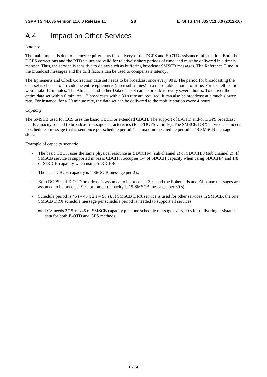# A.4 Impact on Other Services

#### *Latency*

The main impact is due to latency requirements for delivery of the DGPS and E-OTD assistance information. Both the DGPS corrections and the RTD values are valid for relatively short periods of time, and must be delivered in a timely manner. Thus, the service is sensitive to delays such as buffering broadcast SMSCB messages. The Reference Time in the broadcast messages and the drift factors can be used to compensate latency.

The Ephemeris and Clock Correction data set needs to be broadcast once every 90 s. The period for broadcasting the data set is chosen to provide the entire ephemeris (three subframes) in a reasonable amount of time. For 8 satellites, it would take 12 minutes. The Almanac and Other Data data set can be broadcast every several hours. To deliver the entire data set within 6 minutes, 12 broadcasts with a 30 s rate are required. It can also be broadcast at a much slower rate. For instance, for a 20 minute rate, the data set can be delivered to the mobile station every 4 hours.

#### *Capacity*

The SMSCB used for LCS uses the basic CBCH or extended CBCH. The support of E-OTD and/or DGPS broadcast needs capacity related to broadcast message characteristics (RTD/DGPS validity). The SMSCB DRX service also needs to schedule a message that is sent once per schedule period. The maximum schedule period is 48 SMSCB message slots.

Example of capacity scenario:

- The basic CBCH uses the same physical resource as SDCCH/4 (sub channel 2) or SDCCH/8 (sub channel 2). If SMSCB service is supported in basic CBCH it occupies 1/4 of SDCCH capacity when using SDCCH/4 and 1/8 of SDCCH capacity when using SDCCH/8.
- The basic CBCH capacity is 1 SMSCB message per 2 s.
- Both DGPS and E-OTD broadcast is assumed to be once per 30 s and the Ephemeris and Almanac messages are assumed to be once per 90 s or longer (capacity is 15 SMSCB messages per 30 s).
- Schedule period is  $45 (= 45 \times 2 \text{ s} = 90 \text{ s})$ . If SMSCB DRX service is used for other services in SMSCB, the one SMSCB DRX schedule message per schedule period is needed to support all services:
	- $\Rightarrow$  LCS needs 2/15 + 1/45 of SMSCB capacity plus one schedule message every 90 s for delivering assistance data for both E-OTD and GPS methods.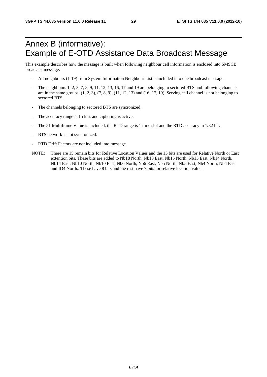# Annex B (informative): Example of E-OTD Assistance Data Broadcast Message

This example describes how the message is built when following neighbour cell information is enclosed into SMSCB broadcast message:

- All neighbours (1-19) from System Information Neighbour List is included into one broadcast message.
- The neighbours 1, 2, 3, 7, 8, 9, 11, 12, 13, 16, 17 and 19 are belonging to sectored BTS and following channels are in the same groups:  $(1, 2, 3)$ ,  $(7, 8, 9)$ ,  $(11, 12, 13)$  and  $(16, 17, 19)$ . Serving cell channel is not belonging to sectored BTS.
- The channels belonging to sectored BTS are syncronized.
- The accuracy range is 15 km, and ciphering is active.
- The 51 Multiframe Value is included, the RTD range is 1 time slot and the RTD accuracy in 1/32 bit.
- BTS network is not syncronized.
- RTD Drift Factors are not included into message.
- NOTE: There are 15 remain bits for Relative Location Values and the 15 bits are used for Relative North or East extention bits. These bits are added to Nb18 North, Nb18 East, Nb15 North, Nb15 East, Nb14 North, Nb14 East, Nb10 North, Nb10 East, Nb6 North, Nb6 East, Nb5 North, Nb5 East, Nb4 North, Nb4 East and ID4 North.. These have 8 bits and the rest have 7 bits for relative location value.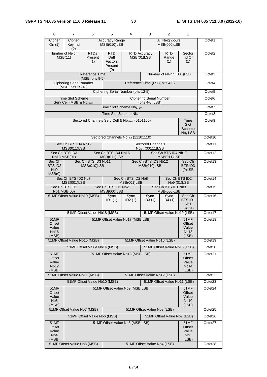| 8                                                      | $\overline{7}$                                                                                                                                                                                 | 6                                                           | 5                                        | 4                                               | 3                                                 | $\overline{2}$                              | 1                                                        |                     |
|--------------------------------------------------------|------------------------------------------------------------------------------------------------------------------------------------------------------------------------------------------------|-------------------------------------------------------------|------------------------------------------|-------------------------------------------------|---------------------------------------------------|---------------------------------------------|----------------------------------------------------------|---------------------|
| Cipher<br>On $(1)$                                     | Cipher<br>Key Ind<br>(0)                                                                                                                                                                       |                                                             | <b>Accuracy Range</b><br>MSB(010)LSB     |                                                 |                                                   | <b>All Neighbours</b><br><b>MSB(000)LSB</b> |                                                          | Octet1              |
|                                                        | Number of Neigh<br><b>RTD</b><br><b>RTD</b><br>RTD <sub>s</sub><br><b>RTD Accuracy</b><br>MSB(11)<br><b>Drift</b><br>MSB(01)LSB<br>Present<br>Range<br>(1)<br>Factors<br>(1)<br>Present<br>(0) |                                                             |                                          |                                                 |                                                   |                                             | Sector<br>Ind On<br>(1)                                  | Octet <sub>2</sub>  |
|                                                        | <b>Reference Time</b><br>Number of Neigh (001)LSB<br>$(MSB, bits 9-5)$                                                                                                                         |                                                             |                                          |                                                 |                                                   |                                             | Octet <sub>3</sub>                                       |                     |
|                                                        | <b>Ciphering Serial Number</b><br>(MSB, bits 15-13)                                                                                                                                            |                                                             |                                          |                                                 | Reference Time (LSB, bits 4-0)                    |                                             |                                                          | Octet4              |
|                                                        |                                                                                                                                                                                                |                                                             |                                          | Ciphering Serial Number (bits 12-5)             |                                                   |                                             |                                                          | Octet <sub>5</sub>  |
|                                                        | <b>Time Slot Scheme</b><br>Serv Cell (MSB)& Nb <sub>19-18</sub>                                                                                                                                |                                                             |                                          |                                                 | <b>Ciphering Serial Number</b><br>(bits 4-0, LSB) |                                             |                                                          | Octet <sub>6</sub>  |
|                                                        |                                                                                                                                                                                                |                                                             |                                          | Time Slot Scheme Nb <sub>17-10</sub>            |                                                   |                                             |                                                          | Octet7              |
|                                                        |                                                                                                                                                                                                |                                                             |                                          | Time Slot Scheme Nb <sub>9-2</sub>              |                                                   |                                             |                                                          | Octet8              |
|                                                        |                                                                                                                                                                                                | Sectored Channels Serv Cell & Nb <sub>19-14</sub> (0101100) |                                          |                                                 |                                                   |                                             | Time<br>Slot<br>Scheme<br>$Nb1$ LSB                      | Octet <sub>9</sub>  |
|                                                        |                                                                                                                                                                                                |                                                             |                                          | Sectored Channels Nb <sub>13-6</sub> (11101110) |                                                   |                                             |                                                          | Octet10             |
|                                                        | Sec Ch BTS ID4 Nb19<br>MSB(011)LSB                                                                                                                                                             |                                                             |                                          |                                                 | <b>Sectored Channels</b><br>$Nb5-1$ (00111) LSB   |                                             |                                                          | Octet11             |
|                                                        | Sec Ch BTS ID3<br>Nb13 MSB(01)                                                                                                                                                                 |                                                             | Sec Ch BTS ID4 Nb16<br>MSB(011)LSB       |                                                 |                                                   | Sec Ch BTS ID4 Nb17<br>MSB(011)LSB          |                                                          | Octet12             |
| Sec Ch<br><b>BTS ID2</b><br>N <sub>b</sub> 9<br>MSB(0) |                                                                                                                                                                                                | Sec Ch BTS ID3 Nb11<br>MSB(010)LSB                          |                                          |                                                 | Sec Ch BTS ID3 Nb12<br>MSB(010)LSB                |                                             | Sec Ch<br>BTS ID3<br>$(0)$ LSB                           | Octet13             |
|                                                        | Sec Ch BTS ID2 Nb7<br>Sec Ch BTS ID2<br>Sec Ch BTS ID2 Nb8<br>MSB(001)LSB<br>Nb9 (01)LSB<br>MSB(001)LSB                                                                                        |                                                             |                                          |                                                 |                                                   |                                             | Octet14                                                  |                     |
|                                                        | Sec Ch BTS ID1                                                                                                                                                                                 |                                                             | Sec Ch BTS ID1 Nb2<br><b>MSB(000)LSB</b> |                                                 |                                                   | Sec Ch BTS ID1 Nb3<br>MSB(000)LSB           |                                                          | Octet15             |
|                                                        | Nb1 MSB(00)<br>51MF Offset Value Nb19 (MSB)<br>Sync<br>ID1(1)                                                                                                                                  |                                                             |                                          | Sync<br>ID2(1)                                  | Sync<br>ID3(1)                                    | Sync<br>ID4(1)                              | Sec Ch<br><b>BTSID1</b><br>N <sub>b</sub> 1<br>$(0)$ LSB | Octet16             |
|                                                        |                                                                                                                                                                                                | 51MF Offset Value Nb18 (MSB)                                |                                          |                                                 |                                                   | 51MF Offset Value Nb19 (LSB)                |                                                          | Octet17             |
| 51MF<br>Offset<br>Value<br>Nb16<br>(MSB)               |                                                                                                                                                                                                |                                                             |                                          | 51MF Offset Value Nb17 (MSB LSB)                |                                                   |                                             | 51MF<br>Offset<br>Value<br>Nb <sub>18</sub><br>(LSB)     | Octet18             |
|                                                        | 51MF Offset Value Nb15 (MSB)                                                                                                                                                                   |                                                             |                                          |                                                 | 51MF Offset Value Nb16 (LSB)                      |                                             |                                                          | Octet19             |
|                                                        |                                                                                                                                                                                                | 51MF Offset Value Nb14 (MSB)                                |                                          |                                                 |                                                   | 51MF Offset Value Nb15 (LSB)                |                                                          | Octet20             |
| Offset<br>Value<br>Nb <sub>12</sub><br>(MSB)           | 51MF Offset Value Nb13 (MSB LSB)<br>51MF<br><b>51MF</b><br>Offset<br>Value<br>Nb <sub>14</sub><br>(LSB)                                                                                        |                                                             |                                          |                                                 |                                                   |                                             | Octet21                                                  |                     |
|                                                        | 51MF Offset Value Nb11 (MSB)                                                                                                                                                                   |                                                             |                                          |                                                 | 51MF Offset Value Nb12 (LSB)                      |                                             |                                                          | Octet22             |
|                                                        |                                                                                                                                                                                                | 51MF Offset Value Nb10 (MSB)                                |                                          |                                                 |                                                   | 51MF Offset Value Nb11 (LSB)                |                                                          | Octet23             |
| Offset<br>Value<br>N <sub>b</sub> 8<br>(MSB)           | 51MF Offset Value Nb9 (MSB LSB)<br><b>51MF</b><br>51MF<br>Offset<br>Value<br><b>Nb10</b><br>(LSB)                                                                                              |                                                             |                                          |                                                 |                                                   | Octet24                                     |                                                          |                     |
|                                                        | 51MF Offset Value Nb7 (MSB)                                                                                                                                                                    |                                                             |                                          |                                                 | 51MF Offset Value Nb8 (LSB)                       |                                             |                                                          | Octet <sub>25</sub> |
|                                                        |                                                                                                                                                                                                | 51MF Offset Value Nb6 (MSB)                                 |                                          |                                                 |                                                   | 51MF Offset Value Nb7 (LSB)                 |                                                          | Octet26             |
| 51MF<br>Offset<br>Value<br>N <sub>b</sub> 4<br>(MSB)   |                                                                                                                                                                                                |                                                             |                                          | 51MF Offset Value Nb5 (MSB LSB)                 |                                                   |                                             | 51MF<br>Offset<br>Value<br>N <sub>b</sub> 6<br>(LSB)     | Octet27             |
|                                                        | 51MF Offset Value Nb3 (MSB)<br>51MF Offset Value Nb4 (LSB)                                                                                                                                     |                                                             |                                          |                                                 |                                                   |                                             | Octet <sub>28</sub>                                      |                     |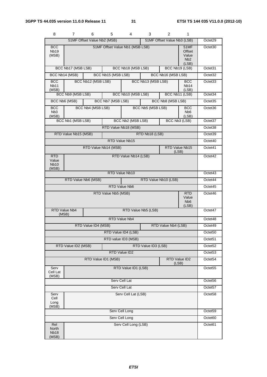| 8                                         | 7.                                         | 6                           | 5                   | 4                               | 3                   | $\overline{2}$              | 1                                                           |                     |
|-------------------------------------------|--------------------------------------------|-----------------------------|---------------------|---------------------------------|---------------------|-----------------------------|-------------------------------------------------------------|---------------------|
|                                           |                                            | 51MF Offset Value Nb2 (MSB) |                     |                                 |                     | 51MF Offset Value Nb3 (LSB) |                                                             | Octet29             |
| <b>BCC</b><br><b>Nb19</b><br>(MSB)        |                                            |                             |                     | 51MF Offset Value Nb1 (MSB LSB) |                     |                             | 51MF<br>Offset<br>Value<br>N <sub>b</sub> 2<br>(LSB)        | Octet30             |
|                                           | BCC Nb17 (MSB LSB)                         |                             |                     | BCC Nb18 (MSB LSB)              |                     |                             | BCC Nb19 (LSB)                                              | Octet31             |
|                                           | BCC Nb14 (MSB)                             |                             | BCC Nb15 (MSB LSB)  |                                 |                     | BCC Nb16 (MSB LSB)          |                                                             | Octet32             |
| <b>BCC</b><br><b>Nb11</b><br>(MSB)        |                                            | BCC Nb12 (MSB LSB)          |                     |                                 | BCC Nb13 (MSB LSB)  |                             | <b>BCC</b><br>Nb14<br>(LSB)                                 | Octet <sub>33</sub> |
|                                           | BCC Nb9 (MSB LSB)                          |                             |                     | BCC Nb10 (MSB LSB)              |                     |                             | BCC Nb11 (LSB)                                              | Octet34             |
|                                           | BCC Nb6 (MSB)                              |                             | BCC Nb7 (MSB LSB)   |                                 |                     | BCC Nb8 (MSB LSB)           |                                                             | Octet35             |
| <b>BCC</b><br>N <sub>b</sub> 3<br>(MSB)   |                                            | BCC Nb4 (MSB LSB)           |                     |                                 | BCC Nb5 (MSB LSB)   |                             | <b>BCC</b><br>N <sub>b</sub> 6<br>(LSB)                     | Octet36             |
|                                           | BCC Nb1 (MSB LSB)                          |                             |                     | BCC Nb2 (MSB LSB)               |                     |                             | BCC Nb3 (LSB)                                               | Octet37             |
|                                           |                                            |                             |                     | RTD Value Nb18 (MSB)            |                     |                             |                                                             | Octet <sub>38</sub> |
|                                           | RTD Value Nb15 (MSB)                       |                             |                     |                                 | RTD Nb18 (LSB)      |                             |                                                             | Octet39             |
|                                           |                                            |                             |                     | RTD Value Nb15                  |                     |                             |                                                             | Octet <sub>40</sub> |
|                                           |                                            | RTD Value Nb14 (MSB)        |                     |                                 |                     |                             | RTD Value Nb15<br>(LSB)                                     | Octet41             |
| RTD<br>Value<br><b>Nb10</b><br>(MSB)      | RTD Value Nb14 (LSB)                       |                             |                     |                                 |                     |                             | Octet42                                                     |                     |
|                                           |                                            |                             |                     | RTD Value Nb10                  |                     |                             |                                                             | Octet43             |
|                                           |                                            | RTD Value Nb6 (MSB)         |                     |                                 |                     | RTD Value Nb10 (LSB)        |                                                             | Octet44             |
|                                           |                                            |                             |                     | RTD Value Nb6                   |                     |                             |                                                             | Octet45             |
|                                           |                                            |                             | RTD Value Nb5 (MSB) |                                 |                     |                             | <b>RTD</b><br>Value<br>N <sub>b</sub> <sub>6</sub><br>(LSB) | Octet46             |
| (MSB)                                     | RTD Value Nb4                              |                             |                     |                                 | RTD Value Nb5 (LSB) |                             |                                                             | Octet47             |
|                                           |                                            |                             |                     | <b>RTD Value Nb4</b>            |                     |                             |                                                             | Octet48             |
|                                           |                                            | RTD Value ID4 (MSB)         |                     |                                 |                     | RTD Value Nb4 (LSB)         |                                                             | Octet49             |
|                                           |                                            |                             |                     | RTD Value ID4 (LSB)             |                     |                             |                                                             | Octet <sub>50</sub> |
|                                           |                                            |                             |                     | RTD value ID3 (MSB)             |                     |                             |                                                             | Octet51             |
|                                           | RTD Value ID3 (LSB)<br>RTD Value ID2 (MSB) |                             |                     |                                 |                     |                             | Octet <sub>52</sub>                                         |                     |
|                                           |                                            |                             |                     | RTD Value ID2                   |                     |                             |                                                             | Octet53             |
| RTD Value ID1 (MSB)                       |                                            |                             |                     |                                 |                     |                             | RTD Value ID2<br>(LSB)                                      | Octet54             |
| Serv<br>Cell Lat<br>(MSB)                 |                                            |                             |                     | RTD Value ID1 (LSB)             |                     |                             |                                                             | Octet <sub>55</sub> |
|                                           | Serv Cell Lat                              |                             |                     |                                 |                     |                             |                                                             | Octet56             |
| Serv Cell Lat                             |                                            |                             |                     |                                 |                     |                             | Octet57                                                     |                     |
| Serv<br>Cell<br>Long<br>(MSB)             |                                            |                             |                     | Serv Cell Lat (LSB)             |                     |                             |                                                             | Octet58             |
| Serv Cell Long                            |                                            |                             |                     |                                 |                     |                             | Octet59                                                     |                     |
|                                           |                                            |                             |                     | Serv Cell Long                  |                     |                             |                                                             | Octet60             |
| Rel<br>North<br>Nb <sub>18</sub><br>(MSB) |                                            |                             |                     | Serv Cell Long (LSB)            |                     |                             |                                                             | Octet61             |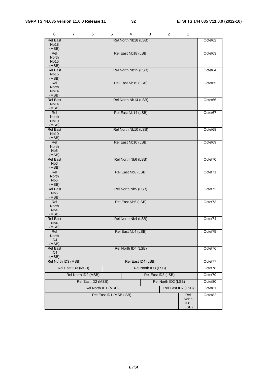| 8                                   | 7                   | 6                   | 5                      | 4                    | 3                   | 2                   | 1                        |                     |
|-------------------------------------|---------------------|---------------------|------------------------|----------------------|---------------------|---------------------|--------------------------|---------------------|
| <b>Rel East</b><br>Nb <sub>18</sub> |                     |                     |                        | Rel North Nb18 (LSB) |                     |                     |                          | Octet <sub>62</sub> |
| (MSB)<br>Rel                        |                     |                     |                        | Rel East Nb18 (LSB)  |                     |                     |                          | Octet63             |
| North                               |                     |                     |                        |                      |                     |                     |                          |                     |
| <b>Nb15</b>                         |                     |                     |                        |                      |                     |                     |                          |                     |
| (MSB)<br><b>Rel East</b>            |                     |                     |                        | Rel North Nb15 (LSB) |                     |                     |                          | Octet64             |
| <b>Nb15</b><br>(MSB)                |                     |                     |                        |                      |                     |                     |                          |                     |
| Rel                                 |                     |                     |                        | Rel East Nb15 (LSB)  |                     |                     |                          | Octet65             |
| North<br>Nb <sub>14</sub>           |                     |                     |                        |                      |                     |                     |                          |                     |
| (MSB)                               |                     |                     |                        |                      |                     |                     |                          |                     |
| <b>Rel East</b><br>Nb <sub>14</sub> |                     |                     |                        | Rel North Nb14 (LSB) |                     |                     |                          | Octet66             |
| (MSB)                               |                     |                     |                        |                      |                     |                     |                          |                     |
| Rel                                 |                     |                     |                        | Rel East Nb14 (LSB)  |                     |                     |                          | Octet67             |
| North                               |                     |                     |                        |                      |                     |                     |                          |                     |
| <b>Nb10</b><br>(MSB)                |                     |                     |                        |                      |                     |                     |                          |                     |
| <b>Rel East</b>                     |                     |                     |                        | Rel North Nb10 (LSB) |                     |                     |                          | Octet68             |
| <b>Nb10</b>                         |                     |                     |                        |                      |                     |                     |                          |                     |
| (MSB)<br>Rel                        |                     |                     |                        | Rel East Nb10 (LSB)  |                     |                     |                          | Octet69             |
| <b>North</b>                        |                     |                     |                        |                      |                     |                     |                          |                     |
| Nb <sub>6</sub>                     |                     |                     |                        |                      |                     |                     |                          |                     |
| (MSB)<br><b>Rel East</b>            |                     |                     |                        | Rel North Nb6 (LSB)  |                     |                     |                          | Octet70             |
| N <sub>b</sub> 6                    |                     |                     |                        |                      |                     |                     |                          |                     |
| (MSB)                               |                     |                     |                        |                      |                     |                     |                          |                     |
| Rel<br>North                        |                     |                     |                        | Rel East Nb6 (LSB)   |                     |                     |                          | Octet71             |
| N <sub>b5</sub>                     |                     |                     |                        |                      |                     |                     |                          |                     |
| (MSB)                               |                     |                     |                        |                      |                     |                     |                          |                     |
| <b>Rel East</b><br>Nb <sub>5</sub>  |                     |                     |                        | Rel North Nb5 (LSB)  |                     |                     |                          | Octet72             |
| (MSB)                               |                     |                     |                        |                      |                     |                     |                          |                     |
| Rel                                 |                     |                     |                        | Rel East Nb5 (LSB)   |                     |                     |                          | Octet73             |
| North<br>Nb <sub>4</sub>            |                     |                     |                        |                      |                     |                     |                          |                     |
| (MSB)                               |                     |                     |                        |                      |                     |                     |                          |                     |
| <b>Rel East</b>                     |                     |                     |                        | Rel North Nb4 (LSB)  |                     |                     |                          | Octet74             |
| N <sub>b</sub> 4<br>(MSB)           |                     |                     |                        |                      |                     |                     |                          |                     |
| Rel                                 |                     |                     |                        | Rel East Nb4 (LSB)   |                     |                     |                          | Octet/5             |
| North                               |                     |                     |                        |                      |                     |                     |                          |                     |
| ID <sub>4</sub><br>(MSB)            |                     |                     |                        |                      |                     |                     |                          |                     |
| <b>Rel East</b>                     |                     |                     |                        | Rel North ID4 (LSB)  |                     |                     |                          | Octet76             |
| ID <sub>4</sub>                     |                     |                     |                        |                      |                     |                     |                          |                     |
| (MSB)                               |                     |                     |                        |                      |                     |                     |                          |                     |
|                                     | Rel North ID3 (MSB) |                     |                        |                      | Rel East ID4 (LSB)  |                     |                          | Octet77             |
|                                     | Rel East ID3 (MSB)  |                     |                        |                      | Rel North ID3 (LSB) |                     |                          | Octet78             |
|                                     | Rel North ID2 (MSB) |                     |                        |                      |                     | Rel East ID3 (LSB)  |                          | Octet79             |
|                                     |                     | Rel East ID2 (MSB)  |                        |                      |                     | Rel North ID2 (LSB) |                          | Octet80             |
|                                     |                     | Rel North ID1 (MSB) |                        |                      |                     |                     | Rel East ID2 (LSB)       | Octet81             |
|                                     |                     |                     | Rel East ID1 (MSB LSB) |                      |                     |                     | Rel                      | Octet82             |
|                                     |                     |                     |                        |                      |                     |                     | North<br>ID <sub>1</sub> |                     |
|                                     |                     |                     |                        |                      |                     |                     | (LSB)                    |                     |

*ETSI*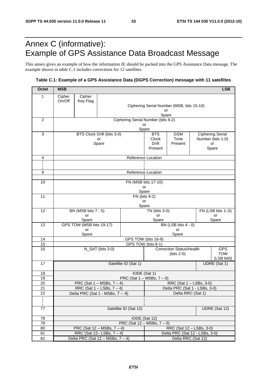# Annex C (informative): Example of GPS Assistance Data Broadcast Message

This annex gives an example of how the information IE should be packed into the GPS Assistance Data message. The example shown in table C.1 includes corrections for 12 satellites.

### **Table C.1: Example of a GPS Assistance Data (DGPS Correction) message with 11 satellites**

| <b>Octet</b>    | <b>MSB</b>                                                                                       |                          |                                        |                                                 |                                                     |                                 |  | <b>LSB</b>               |
|-----------------|--------------------------------------------------------------------------------------------------|--------------------------|----------------------------------------|-------------------------------------------------|-----------------------------------------------------|---------------------------------|--|--------------------------|
| 1               | Cipher                                                                                           | Cipher                   |                                        |                                                 |                                                     |                                 |  |                          |
|                 | On/Off                                                                                           | Key Flag                 |                                        |                                                 |                                                     |                                 |  |                          |
|                 |                                                                                                  |                          |                                        | Ciphering Serial Number (MSB, bits 15-10)<br>or |                                                     |                                 |  |                          |
|                 |                                                                                                  |                          |                                        |                                                 | Spare                                               |                                 |  |                          |
| $\overline{c}$  |                                                                                                  |                          |                                        | Ciphering Serial Number (bits 9-2)<br>or        |                                                     |                                 |  |                          |
|                 |                                                                                                  |                          |                                        | Spare                                           |                                                     |                                 |  |                          |
| 3               |                                                                                                  |                          | BTS Clock Drift (bits 3-0)             |                                                 | <b>GSM</b><br><b>BTS</b><br><b>Ciphering Serial</b> |                                 |  |                          |
|                 |                                                                                                  |                          | or<br>Spare                            |                                                 | Clock<br>Drift                                      | Time<br>Present                 |  | Number (bits 1-0)<br>or  |
|                 |                                                                                                  |                          |                                        |                                                 | Present                                             |                                 |  | Spare                    |
|                 |                                                                                                  |                          |                                        |                                                 |                                                     |                                 |  |                          |
| 4               |                                                                                                  |                          |                                        | Reference Location                              |                                                     |                                 |  |                          |
|                 |                                                                                                  |                          |                                        |                                                 |                                                     |                                 |  |                          |
| 9               |                                                                                                  |                          |                                        | Reference Location                              |                                                     |                                 |  |                          |
| 10              |                                                                                                  |                          |                                        |                                                 | FN (MSB bits 17-10)                                 |                                 |  |                          |
|                 |                                                                                                  |                          |                                        |                                                 | or                                                  |                                 |  |                          |
|                 |                                                                                                  |                          |                                        | Spare                                           |                                                     |                                 |  |                          |
| 11              |                                                                                                  |                          |                                        | FN (bits 9-2)<br>or                             |                                                     |                                 |  |                          |
|                 |                                                                                                  |                          |                                        | Spare                                           |                                                     |                                 |  |                          |
| 12              |                                                                                                  | BN (MSB bits 7 - 5)      |                                        |                                                 | TN (bits 3-0)                                       |                                 |  | FN (LSB bits 1-0)        |
|                 | or<br>Spare                                                                                      |                          |                                        |                                                 | or<br>Spare                                         |                                 |  | or<br>Spare              |
| 13              |                                                                                                  | GPS TOW (MSB bits 19-17) |                                        |                                                 |                                                     | BN (LSB bits 4 - 0)             |  |                          |
|                 | or                                                                                               |                          |                                        |                                                 |                                                     | or                              |  |                          |
| 14              | Spare<br>Spare<br>GPS TOW (bits 16-9)                                                            |                          |                                        |                                                 |                                                     |                                 |  |                          |
| 15              | GPS TOW (bits 8-1)                                                                               |                          |                                        |                                                 |                                                     |                                 |  |                          |
| 16              | N_SAT (bits 3-0)                                                                                 |                          |                                        |                                                 |                                                     | <b>Correction Status/Health</b> |  | <b>GPS</b>               |
|                 |                                                                                                  |                          |                                        |                                                 |                                                     | $(bits 2-0)$                    |  | <b>TOW</b><br>(LSB bit0) |
| 17              | Satellite ID (Sat 1)                                                                             |                          |                                        |                                                 |                                                     |                                 |  | UDRE (Sat 1)             |
|                 |                                                                                                  |                          |                                        |                                                 |                                                     |                                 |  |                          |
| 18<br>19        | IODE (Sat 1)<br>PRC (Sat $1 - MSBs$ , $7 - 0$ )                                                  |                          |                                        |                                                 |                                                     |                                 |  |                          |
| 20              | PRC (Sat $1 - \text{MSBs}, 7 - 4$ )                                                              |                          |                                        |                                                 | RRC (Sat 1 - LSBs, 3-0)                             |                                 |  |                          |
| $\overline{21}$ | RRC (Sat $1 -$ LSBs, $7 - 4$ )                                                                   |                          |                                        |                                                 | Delta PRC (Sat 1 - LSBs, 3-0)                       |                                 |  |                          |
| 22              | Delta RRC (Sat 1)<br>Delta PRC (Sat 1 - MSBs, $7 - 4$ )                                          |                          |                                        |                                                 |                                                     |                                 |  |                          |
|                 |                                                                                                  |                          |                                        |                                                 |                                                     |                                 |  |                          |
| 77              | Satellite ID (Sat 12)<br>UDRE (Sat 12)                                                           |                          |                                        |                                                 |                                                     |                                 |  |                          |
|                 |                                                                                                  |                          |                                        |                                                 |                                                     |                                 |  |                          |
| 78<br>79        |                                                                                                  |                          |                                        | IODE (Sat 12)                                   |                                                     |                                 |  |                          |
| 80              | PRC (Sat $12 - MSBs$ , $7 - 0$ )<br>PRC (Sat $12 - MSBs$ , $7 - 4$ )<br>RRC (Sat 12 - LSBs, 3-0) |                          |                                        |                                                 |                                                     |                                 |  |                          |
| 81              |                                                                                                  |                          | RRC (Sat $12 -$ LSBs, $7 - 4$ )        |                                                 | Delta PRC (Sat 12 - LSBs, 3-0)                      |                                 |  |                          |
| 82              |                                                                                                  |                          | Delta PRC (Sat $12 - MSBs$ , $7 - 4$ ) |                                                 | Delta RRC (Sat 12)                                  |                                 |  |                          |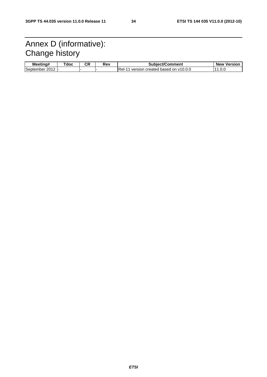# Annex D (informative): Change history

| Meetina#          | Tdoc | Ωn<br>vn. | Rev | Subject/Comment                           | <b>New</b><br>Version |
|-------------------|------|-----------|-----|-------------------------------------------|-----------------------|
| September<br>2012 | .    |           |     | IRel-<br>version created based on y10.0.0 | - 11<br>.v.v          |